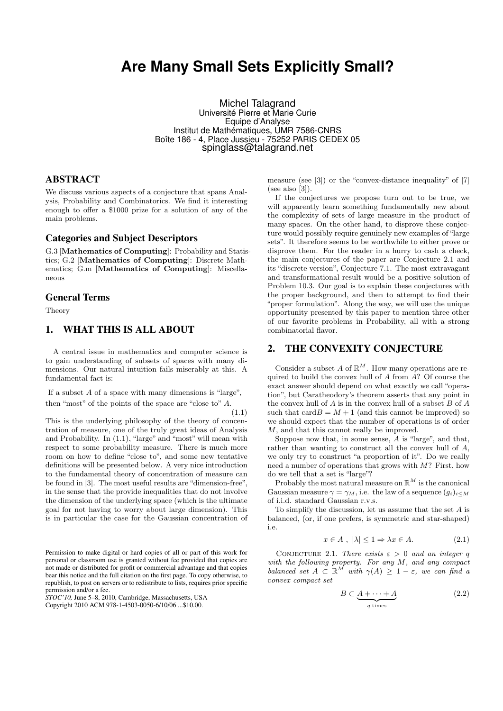# **Are Many Small Sets Explicitly Small?**

Michel Talagrand Université Pierre et Marie Curie Equipe d'Analyse Institut de Mathématiques, UMR 7586-CNRS Boîte 186 - 4, Place Jussieu - 75252 PARIS CEDEX 05 spinglass@talagrand.net

## ABSTRACT

We discuss various aspects of a conjecture that spans Analysis, Probability and Combinatorics. We find it interesting enough to offer a \$1000 prize for a solution of any of the main problems.

### Categories and Subject Descriptors

G.3 [Mathematics of Computing]: Probability and Statistics; G.2 [Mathematics of Computing]: Discrete Mathematics; G.m [Mathematics of Computing]: Miscellaneous

## General Terms

Theory

# 1. WHAT THIS IS ALL ABOUT

A central issue in mathematics and computer science is to gain understanding of subsets of spaces with many dimensions. Our natural intuition fails miserably at this. A fundamental fact is:

If a subset  $A$  of a space with many dimensions is "large", then "most" of the points of the space are "close to" A.

(1.1)

This is the underlying philosophy of the theory of concentration of measure, one of the truly great ideas of Analysis and Probability. In (1.1), "large" and "most" will mean with respect to some probability measure. There is much more room on how to define "close to", and some new tentative definitions will be presented below. A very nice introduction to the fundamental theory of concentration of measure can be found in [3]. The most useful results are "dimension-free", in the sense that the provide inequalities that do not involve the dimension of the underlying space (which is the ultimate goal for not having to worry about large dimension). This is in particular the case for the Gaussian concentration of

Permission to make digital or hard copies of all or part of this work for personal or classroom use is granted without fee provided that copies are not made or distributed for profit or commercial advantage and that copies bear this notice and the full citation on the first page. To copy otherwise, to republish, to post on servers or to redistribute to lists, requires prior specific permission and/or a fee.

*STOC'10,* June 5–8, 2010, Cambridge, Massachusetts, USA Copyright 2010 ACM 978-1-4503-0050-6/10/06 ...\$10.00.

measure (see [3]) or the "convex-distance inequality" of [7] (see also  $[3]$ ).

If the conjectures we propose turn out to be true, we will apparently learn something fundamentally new about the complexity of sets of large measure in the product of many spaces. On the other hand, to disprove these conjecture would possibly require genuinely new examples of "large sets". It therefore seems to be worthwhile to either prove or disprove them. For the reader in a hurry to cash a check, the main conjectures of the paper are Conjecture 2.1 and its "discrete version", Conjecture 7.1. The most extravagant and transformational result would be a positive solution of Problem 10.3. Our goal is to explain these conjectures with the proper background, and then to attempt to find their "proper formulation". Along the way, we will use the unique opportunity presented by this paper to mention three other of our favorite problems in Probability, all with a strong combinatorial flavor.

## 2. THE CONVEXITY CONJECTURE

Consider a subset A of  $\mathbb{R}^M$ . How many operations are required to build the convex hull of  $A$  from  $A$ ? Of course the exact answer should depend on what exactly we call "operation", but Caratheodory's theorem asserts that any point in the convex hull of  $A$  is in the convex hull of a subset  $B$  of  $A$ such that  $card B = M + 1$  (and this cannot be improved) so we should expect that the number of operations is of order M, and that this cannot really be improved.

Suppose now that, in some sense, A is "large", and that, rather than wanting to construct all the convex hull of A, we only try to construct "a proportion of it". Do we really need a number of operations that grows with  $M$ ? First, how do we tell that a set is "large"?

Probably the most natural measure on  $\mathbb{R}^M$  is the canonical Gaussian measure  $\gamma = \gamma_M$ , i.e. the law of a sequence  $(q_i)_{i \leq M}$ of i.i.d. standard Gaussian r.v.s.

To simplify the discussion, let us assume that the set A is balanced, (or, if one prefers, is symmetric and star-shaped) i.e.

$$
x \in A \; , \; |\lambda| \le 1 \Rightarrow \lambda x \in A. \tag{2.1}
$$

CONJECTURE 2.1. There exists  $\varepsilon > 0$  and an integer q with the following property. For any M, and any compact balanced set  $A \subseteq \mathbb{R}^M$  with  $\gamma(A) \geq 1 - \varepsilon$ , we can find a convex compact set

$$
B \subset \underbrace{A + \dots + A}_{q \text{ times}} \tag{2.2}
$$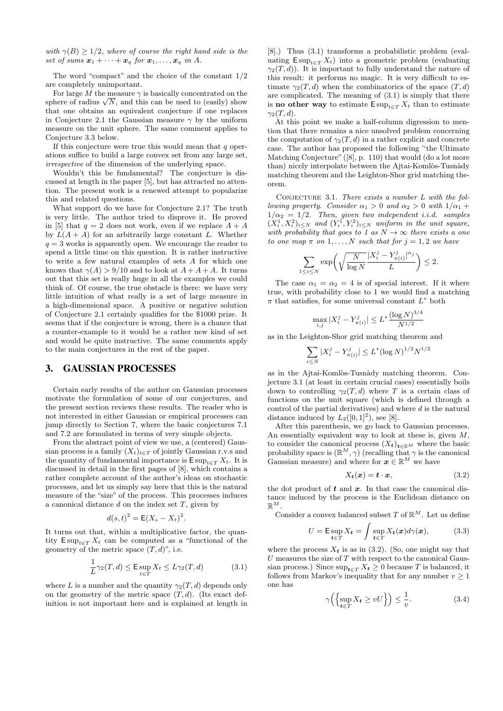with  $\gamma(B) \geq 1/2$ , where of course the right hand side is the set of sums  $\mathbf{x}_1 + \cdots + \mathbf{x}_q$  for  $\mathbf{x}_1, \ldots, \mathbf{x}_q$  in A.

The word "compact" and the choice of the constant 1/2 are completely unimportant.

For large  $M$  the measure  $\gamma$  is basically concentrated on the For large M the measure  $\gamma$  is basically concentrated on the sphere of radius  $\sqrt{N}$ , and this can be used to (easily) show that one obtains an equivalent conjecture if one replaces in Conjecture 2.1 the Gaussian measure  $\gamma$  by the uniform measure on the unit sphere. The same comment applies to Conjecture 3.3 below.

If this conjecture were true this would mean that  $q$  operations suffice to build a large convex set from any large set, irrespective of the dimension of the underlying space.

Wouldn't this be fundamental? The conjecture is discussed at length in the paper [5], but has attracted no attention. The present work is a renewed attempt to popularize this and related questions.

What support do we have for Conjecture 2.1? The truth is very little. The author tried to disprove it. He proved in [5] that  $q = 2$  does not work, even if we replace  $A + A$ by  $L(A + A)$  for an arbitrarily large constant L. Whether  $q = 3$  works is apparently open. We encourage the reader to spend a little time on this question. It is rather instructive to write a few natural examples of sets A for which one knows that  $\gamma(A) > 9/10$  and to look at  $A + A + A$ . It turns out that this set is really huge in all the examples we could think of. Of course, the true obstacle is there: we have very little intuition of what really is a set of large measure in a high-dimensional space. A positive or negative solution of Conjecture 2.1 certainly qualifies for the \$1000 prize. It seems that if the conjecture is wrong, there is a chance that a counter-example to it would be a rather new kind of set and would be quite instructive. The same comments apply to the main conjectures in the rest of the paper.

# 3. GAUSSIAN PROCESSES

Certain early results of the author on Gaussian processes motivate the formulation of some of our conjectures, and the present section reviews these results. The reader who is not interested in either Gaussian or empirical processes can jump directly to Section 7, where the basic conjectures 7.1 and 7.2 are formulated in terms of very simple objects.

From the abstract point of view we use, a (centered) Gaussian process is a family  $(X_t)_{t\in T}$  of jointly Gaussian r.v.s and the quantity of fundamental importance is  $\text{Exp}_{t \in T} X_t$ . It is discussed in detail in the first pages of [8], which contains a rather complete account of the author's ideas on stochastic processes, and let us simply say here that this is the natural measure of the "size" of the process. This processes induces a canonical distance  $d$  on the index set  $T$ , given by

$$
d(s,t)^2 = \mathsf{E}(X_s - X_t)^2.
$$

It turns out that, within a multiplicative factor, the quantity  $\text{Exp}_{t \in T} X_t$  can be computed as a "functional of the geometry of the metric space  $(T, d)$ ", i.e.

$$
\frac{1}{L}\gamma_2(T,d) \le \mathsf{E} \sup_{t \in T} X_t \le L\gamma_2(T,d) \tag{3.1}
$$

where L is a number and the quantity  $\gamma_2(T, d)$  depends only on the geometry of the metric space  $(T, d)$ . (Its exact definition is not important here and is explained at length in

[8].) Thus (3.1) transforms a probabilistic problem (evaluating  $\text{E} \sup_{t \in T} X_t$ ) into a geometric problem (evaluating  $\gamma_2(T, d)$ ). It is important to fully understand the nature of this result: it performs no magic. It is very difficult to estimate  $\gamma_2(T, d)$  when the combinatorics of the space  $(T, d)$ are complicated. The meaning of (3.1) is simply that there is **no other way** to estimate  $\text{Exp}_{t \in T} X_t$  than to estimate  $\gamma_2(T, d)$ .

At this point we make a half-column digression to mention that there remains a nice unsolved problem concerning the computation of  $\gamma_2(T, d)$  in a rather explicit and concrete case. The author has proposed the following ''the Ultimate Matching Conjecture" ([8], p. 110) that would (do a lot more than) nicely interpolate between the Ajtai-Komlòs-Tusnàdy matching theorem and the Leighton-Shor grid matching theorem.

CONJECTURE 3.1. There exists a number  $L$  with the following property. Consider  $\alpha_1 > 0$  and  $\alpha_2 > 0$  with  $1/\alpha_1 +$  $1/\alpha_2 = 1/2$ . Then, given two independent i.i.d. samples  $(X_i^1, X_i^2)_{i \leq N}$  and  $(Y_i^1, Y_i^2)_{i \leq N}$  uniform in the unit square, with probability that goes to 1 as  $N \to \infty$  there exists a one to one map  $\pi$  on  $1, \ldots, N$  such that for  $j = 1, 2$  we have

$$
\sum_{1 \le i \le N} \exp\left(\sqrt{\frac{N}{\log N}} \frac{|X_i^j - Y^j_{\pi(i)}|^{\alpha_j}}{L}\right) \le 2.
$$

The case  $\alpha_1 = \alpha_2 = 4$  is of special interest. If it where true, with probability close to 1 we would find a matching  $\pi$  that satisfies, for some universal constant  $L^*$  both

$$
\max_{i,j}|X_i^j-Y_{\pi(i)}^j|\le L^*\frac{(\log N)^{3/4}}{N^{1/2}}
$$

as in the Leighton-Shor grid matching theorem and

$$
\sum_{i \le N} |X_i^j - Y_{\pi(i)}^j| \le L^* (\log N)^{1/2} N^{1/2}
$$

as in the Ajtai-Komlòs-Tusnàdy matching theorem. Conjecture 3.1 (at least in certain crucial cases) essentially boils down to controlling  $\gamma_2(T, d)$  where T is a certain class of functions on the unit square (which is defined through a control of the partial derivatives) and where  $d$  is the natural distance induced by  $L_2([0,1]^2)$ , see [8].

After this parenthesis, we go back to Gaussian processes. An essentially equivalent way to look at these is, given M, to consider the canonical process  $(X_t)_{t\in\mathbb{R}^M}$  where the basic probability space is  $(\mathbb{R}^M, \gamma)$  (recalling that  $\gamma$  is the canonical Gaussian measure) and where for  $\boldsymbol{x} \in \mathbb{R}^M$  we have

$$
X_t(\mathbf{x}) = t \cdot \mathbf{x},\tag{3.2}
$$

the dot product of  $t$  and  $x$ . In that case the canonical distance induced by the process is the Euclidean distance on  $\mathbb{R}^M$  .

Consider a convex balanced subset  $T$  of  $\mathbb{R}^M$ . Let us define

$$
U = \mathsf{E} \sup_{\mathbf{t} \in T} X_{\mathbf{t}} = \int \sup_{\mathbf{t} \in T} X_{\mathbf{t}}(\mathbf{x}) d\gamma(\mathbf{x}), \tag{3.3}
$$

where the process  $X_t$  is as in (3.2). (So, one might say that  $U$  measures the size of  $T$  with respect to the canonical Gaussian process.) Since  $\sup_{\pmb{t}\in T}X_{\pmb{t}}\geq 0$  because  $T$  is balanced, it follows from Markov's inequality that for any number  $v \ge 1$ one has

$$
\gamma\left(\left\{\sup_{t\in T} X_t \ge vU\right\}\right) \le \frac{1}{v}.\tag{3.4}
$$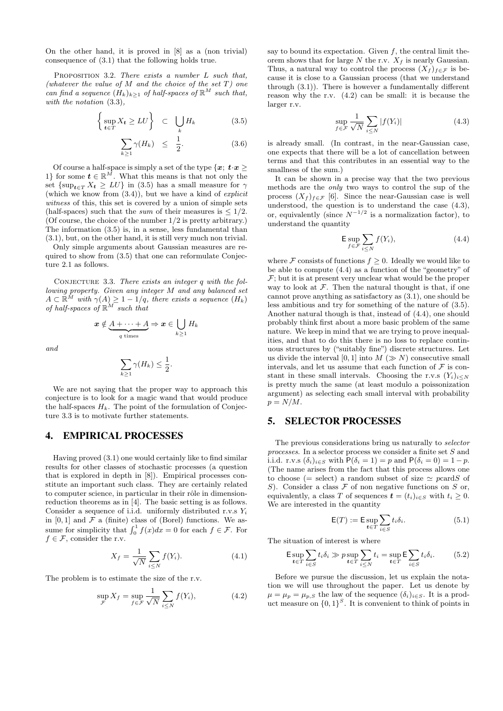On the other hand, it is proved in [8] as a (non trivial) consequence of (3.1) that the following holds true.

PROPOSITION 3.2. There exists a number  $L$  such that, (whatever the value of M and the choice of the set  $T$ ) one can find a sequence  $(H_k)_{k\geq 1}$  of half-spaces of  $\mathbb{R}^M$  such that, with the notation (3.3),

$$
\left\{\sup_{\mathbf{t}\in T} X_{\mathbf{t}} \ge LU\right\} \quad \subset \quad \bigcup_{k} H_{k} \tag{3.5}
$$

$$
\sum_{k\geq 1} \gamma(H_k) \leq \frac{1}{2}.\tag{3.6}
$$

Of course a half-space is simply a set of the type  $\{x; t \cdot x \geq 0\}$ 1} for some  $t \in \mathbb{R}^{\bar{M}}$ . What this means is that not only the set  $\{\sup_{t\in T} X_t \geq LU\}$  in (3.5) has a small measure for  $\gamma$ (which we know from  $(3.4)$ ), but we have a kind of *explicit* witness of this, this set is covered by a union of simple sets (half-spaces) such that the *sum* of their measures is  $\leq 1/2$ . (Of course, the choice of the number 1/2 is pretty arbitrary.) The information (3.5) is, in a sense, less fundamental than (3.1), but, on the other hand, it is still very much non trivial.

Only simple arguments about Gaussian measures are required to show from (3.5) that one can reformulate Conjecture 2.1 as follows.

CONJECTURE 3.3. There exists an integer  $q$  with the following property. Given any integer M and any balanced set  $A \subset \mathbb{R}^{\tilde{M}}$  with  $\gamma(A) \geq 1 - 1/q$ , there exists a sequence  $(H_k)$ of half-spaces of  $\mathbb{R}^M$  such that

$$
\boldsymbol{x} \notin \underbrace{A + \cdots + A}_{q \text{ times}} \Rightarrow \boldsymbol{x} \in \bigcup_{k \geq 1} H_k
$$

and

$$
\sum_{k\geq 1}\gamma(H_k)\leq \frac{1}{2}.
$$

We are not saying that the proper way to approach this conjecture is to look for a magic wand that would produce the half-spaces  $H_k$ . The point of the formulation of Conjecture 3.3 is to motivate further statements.

#### 4. EMPIRICAL PROCESSES

Having proved (3.1) one would certainly like to find similar results for other classes of stochastic processes (a question that is explored in depth in [8]). Empirical processes constitute an important such class. They are certainly related to computer science, in particular in their rôle in dimensionreduction theorems as in [4]. The basic setting is as follows. Consider a sequence of i.i.d. uniformly distributed r.v.s  $Y_i$ in  $[0, 1]$  and  $\mathcal F$  a (finite) class of (Borel) functions. We assume for simplicity that  $\int_0^1 f(x)dx = 0$  for each  $f \in \mathcal{F}$ . For  $f \in \mathcal{F}$ , consider the r.v.

$$
X_f = \frac{1}{\sqrt{N}} \sum_{i \le N} f(Y_i). \tag{4.1}
$$

The problem is to estimate the size of the r.v.

$$
\sup_{\mathcal{F}} X_f = \sup_{f \in \mathcal{F}} \frac{1}{\sqrt{N}} \sum_{i \le N} f(Y_i), \tag{4.2}
$$

say to bound its expectation. Given  $f$ , the central limit theorem shows that for large  $N$  the r.v.  $X_f$  is nearly Gaussian. Thus, a natural way to control the process  $(X_f)_{f \in \mathcal{F}}$  is because it is close to a Gaussian process (that we understand through (3.1)). There is however a fundamentally different reason why the r.v. (4.2) can be small: it is because the larger r.v.

$$
\sup_{f \in \mathcal{F}} \frac{1}{\sqrt{N}} \sum_{i \le N} |f(Y_i)| \tag{4.3}
$$

is already small. (In contrast, in the near-Gaussian case, one expects that there will be a lot of cancellation between terms and that this contributes in an essential way to the smallness of the sum.)

It can be shown in a precise way that the two previous methods are the only two ways to control the sup of the process  $(X_f)_{f \in \mathcal{F}}$  [6]. Since the near-Gaussian case is well understood, the question is to understand the case (4.3), or, equivalently (since  $N^{-1/2}$  is a normalization factor), to understand the quantity

$$
\mathsf{E} \sup_{f \in \mathcal{F}} \sum_{i \le N} f(Y_i),\tag{4.4}
$$

where  $\mathcal F$  consists of functions  $f \geq 0$ . Ideally we would like to be able to compute (4.4) as a function of the "geometry" of  $\mathcal{F}$ ; but it is at present very unclear what would be the proper way to look at  $F$ . Then the natural thought is that, if one cannot prove anything as satisfactory as (3.1), one should be less ambitious and try for something of the nature of (3.5). Another natural though is that, instead of (4.4), one should probably think first about a more basic problem of the same nature. We keep in mind that we are trying to prove inequalities, and that to do this there is no loss to replace continuous structures by ("suitably fine") discrete structures. Let us divide the interval [0, 1] into  $M (\gg N)$  consecutive small intervals, and let us assume that each function of  $\mathcal F$  is constant in these small intervals. Choosing the r.v.s  $(Y_i)_{i\leq N}$ is pretty much the same (at least modulo a poissonization argument) as selecting each small interval with probability  $p = N/M$ .

# 5. SELECTOR PROCESSES

The previous considerations bring us naturally to selector processes. In a selector process we consider a finite set S and i.i.d. r.v.s  $(\delta_i)_{i\in S}$  with  $P(\delta_i = 1) = p$  and  $P(\delta_i = 0) = 1 - p$ . (The name arises from the fact that this process allows one to choose (= select) a random subset of size  $\simeq$  pcardS of S). Consider a class  $F$  of non negative functions on S or, equivalently, a class T of sequences  $\mathbf{t} = (t_i)_{i \in S}$  with  $t_i \geq 0$ . We are interested in the quantity

$$
\mathsf{E}(T) := \mathsf{E} \sup_{t \in T} \sum_{i \in S} t_i \delta_i.
$$
 (5.1)

The situation of interest is where

$$
\mathsf{E} \sup_{\mathbf{t} \in T} \sum_{i \in S} t_i \delta_i \gg p \sup_{\mathbf{t} \in T} \sum_{i \le N} t_i = \sup_{\mathbf{t} \in T} \mathsf{E} \sum_{i \in S} t_i \delta_i. \tag{5.2}
$$

Before we pursue the discussion, let us explain the notation we will use throughout the paper. Let us denote by  $\mu = \mu_p = \mu_{p,S}$  the law of the sequence  $(\delta_i)_{i \in S}$ . It is a product measure on  $\{0,1\}^S$ . It is convenient to think of points in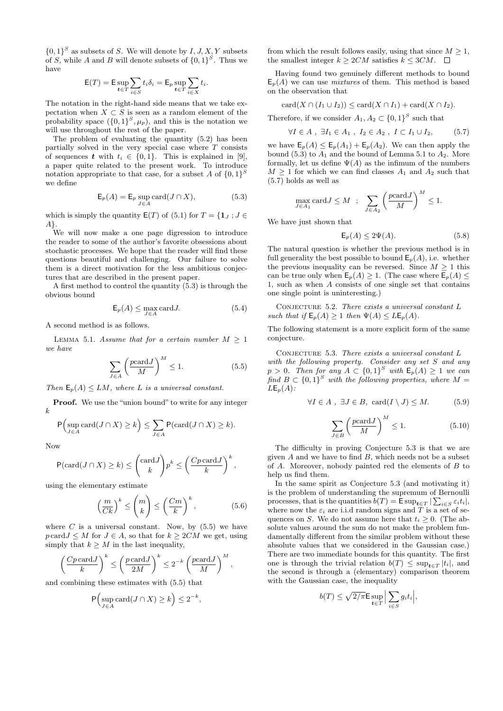${0,1}^S$  as subsets of S. We will denote by  $I, J, X, Y$  subsets of S, while A and B will denote subsets of  $\{0,1\}^S$ . Thus we have

$$
\mathsf{E}(T) = \mathsf{E} \sup_{\mathbf{t} \in T} \sum_{i \in S} t_i \delta_i = \mathsf{E}_p \sup_{\mathbf{t} \in T} \sum_{i \in X} t_i.
$$

The notation in the right-hand side means that we take expectation when  $X \subset S$  is seen as a random element of the probability space  $({0,1}^S, \mu_p)$ , and this is the notation we will use throughout the rest of the paper.

The problem of evaluating the quantity (5.2) has been partially solved in the very special case where  $T$  consists of sequences t with  $t_i \in \{0, 1\}$ . This is explained in [9], a paper quite related to the present work. To introduce notation appropriate to that case, for a subset A of  $\{0,1\}^S$ we define

$$
\mathsf{E}_p(A) = \mathsf{E}_p \sup_{J \in A} \text{card}(J \cap X),\tag{5.3}
$$

which is simply the quantity  $E(T)$  of (5.1) for  $T = \{1_J : J \in$ A}.

We will now make a one page digression to introduce the reader to some of the author's favorite obsessions about stochastic processes. We hope that the reader will find these questions beautiful and challenging. Our failure to solve them is a direct motivation for the less ambitious conjectures that are described in the present paper.

A first method to control the quantity (5.3) is through the obvious bound

$$
\mathsf{E}_p(A) \le \max_{J \in A} \text{card} J. \tag{5.4}
$$

A second method is as follows.

LEMMA 5.1. Assume that for a certain number  $M \geq 1$ we have

$$
\sum_{J \in A} \left( \frac{pc \text{ard} J}{M} \right)^M \le 1. \tag{5.5}
$$

Then  $\mathsf{E}_p(A) \leq LM$ , where L is a universal constant.

Proof. We use the "union bound" to write for any integer k

$$
\mathsf{P}\Big(\sup_{J\in A}\text{card}(J\cap X)\geq k\Big)\leq \sum_{J\in A}\mathsf{P}(\text{card}(J\cap X)\geq k).
$$

Now

$$
\mathsf{P}(\text{card}(J \cap X) \ge k) \le \binom{\text{card}J}{k} p^k \le \left(\frac{Cp \text{ card}J}{k}\right)^k,
$$

using the elementary estimate

$$
\left(\frac{m}{Ck}\right)^k \le \binom{m}{k} \le \left(\frac{Cm}{k}\right)^k,\tag{5.6}
$$

where  $C$  is a universal constant. Now, by  $(5.5)$  we have  $p \text{ card } J \leq M$  for  $J \in A$ , so that for  $k \geq 2CM$  we get, using simply that  $k \geq M$  in the last inequality,

$$
\left(\frac{Cp\operatorname{card} J}{k}\right)^k \le \left(\frac{p\operatorname{card} J}{2M}\right)^k \le 2^{-k} \left(\frac{p\operatorname{card} J}{M}\right)^M,
$$

and combining these estimates with (5.5) that

$$
\mathsf{P}\Big(\sup_{J\in A}\text{card}(J\cap X)\geq k\Big)\leq 2^{-k},
$$

from which the result follows easily, using that since  $M \geq 1$ , the smallest integer  $k \ge 2CM$  satisfies  $k \le 3CM$ .  $\Box$ 

Having found two genuinely different methods to bound  $E_p(A)$  we can use *mixtures* of them. This method is based on the observation that

$$
card(X \cap (I_1 \cup I_2)) \leq card(X \cap I_1) + card(X \cap I_2).
$$

Therefore, if we consider  $A_1, A_2 \subset \{0,1\}^S$  such that

$$
\forall I \in A , \ \exists I_1 \in A_1 , \ I_2 \in A_2 , \ I \subset I_1 \cup I_2, \tag{5.7}
$$

we have  $\mathsf{E}_p(A) \leq \mathsf{E}_p(A_1) + \mathsf{E}_p(A_2)$ . We can then apply the bound  $(5.3)$  to  $A_1$  and the bound of Lemma 5.1 to  $A_2$ . More formally, let us define  $\Psi(A)$  as the infimum of the numbers  $M > 1$  for which we can find classes  $A_1$  and  $A_2$  such that (5.7) holds as well as

$$
\max_{J \in A_1} \text{card} J \le M \;\; ; \;\; \sum_{J \in A_2} \left( \frac{p \text{card} J}{M} \right)^M \le 1.
$$

We have just shown that

$$
\mathsf{E}_p(A) \le 2\Psi(A). \tag{5.8}
$$

The natural question is whether the previous method is in full generality the best possible to bound  $\mathsf{E}_p(A)$ , i.e. whether the previous inequality can be reversed. Since  $M \geq 1$  this can be true only when  $\mathsf{E}_p(A) \geq 1$ . (The case where  $\mathsf{E}_p(A) \leq$ 1, such as when A consists of one single set that contains one single point is uninteresting.)

CONJECTURE  $5.2.$  There exists a universal constant  $L$ such that if  $\mathsf{E}_p(A) \geq 1$  then  $\Psi(A) \leq L\mathsf{E}_p(A)$ .

The following statement is a more explicit form of the same conjecture.

CONJECTURE 5.3. There exists a universal constant  $L$ with the following property. Consider any set S and any  $p > 0$ . Then for any  $A \subset \{0,1\}^S$  with  $\mathsf{E}_p(A) \geq 1$  we can find  $B \subset \{0,1\}^S$  with the following properties, where  $M =$  $LE_n(A)$ :

$$
\forall I \in A, \ \exists J \in B, \ \text{card}(I \setminus J) \leq M. \tag{5.9}
$$

$$
\sum_{J \in B} \left( \frac{pc \text{ard} J}{M} \right)^M \le 1. \tag{5.10}
$$

The difficulty in proving Conjecture 5.3 is that we are given  $A$  and we have to find  $B$ , which needs not be a subset of A. Moreover, nobody painted red the elements of B to help us find them.

In the same spirit as Conjecture 5.3 (and motivating it) is the problem of understanding the supremum of Bernoulli processes, that is the quantities  $b(T) = \mathsf{E} \sup_{t \in T} |\sum_{i \in S} \varepsilon_i t_i|$ , where now the  $\varepsilon_i$  are i.i.d random signs and T is a set of sequences on S. We do not assume here that  $t_i \geq 0$ . (The absolute values around the sum do not make the problem fundamentally different from the similar problem without these absolute values that we considered in the Gaussian case.) There are two immediate bounds for this quantity. The first one is through the trivial relation  $b(T) \leq \sup_{t \in T} |t_i|$ , and the second is through a (elementary) comparison theorem with the Gaussian case, the inequality

$$
b(T) \le \sqrt{2/\pi} \mathsf{E} \sup_{t \in T} \Big| \sum_{i \in S} g_i t_i \Big|,
$$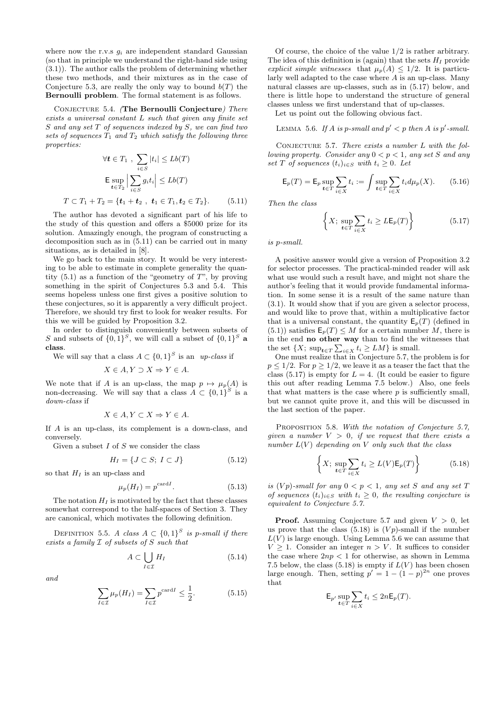where now the r.v.s  $g_i$  are independent standard Gaussian (so that in principle we understand the right-hand side using (3.1)). The author calls the problem of determining whether these two methods, and their mixtures as in the case of Conjecture 5.3, are really the only way to bound  $b(T)$  the Bernoulli problem. The formal statement is as follows.

Conjecture 5.4. (The Bernoulli Conjecture) There exists a universal constant L such that given any finite set S and any set T of sequences indexed by S, we can find two sets of sequences  $T_1$  and  $T_2$  which satisfy the following three properties:

$$
\forall \mathbf{t} \in T_1 \ , \ \sum_{i \in S} |t_i| \leq Lb(T)
$$

$$
\mathsf{E} \sup_{\mathbf{t} \in T_2} \Big| \sum_{i \in S} g_i t_i \Big| \leq Lb(T)
$$

$$
T \subset T_1 + T_2 = \{ \mathbf{t}_1 + \mathbf{t}_2 \ , \ \mathbf{t}_1 \in T_1, \mathbf{t}_2 \in T_2 \}. \tag{5.11}
$$

The author has devoted a significant part of his life to the study of this question and offers a \$5000 prize for its solution. Amazingly enough, the program of constructing a decomposition such as in (5.11) can be carried out in many situations, as is detailed in [8].

We go back to the main story. It would be very interesting to be able to estimate in complete generality the quantity  $(5.1)$  as a function of the "geometry of T", by proving something in the spirit of Conjectures 5.3 and 5.4. This seems hopeless unless one first gives a positive solution to these conjectures, so it is apparently a very difficult project. Therefore, we should try first to look for weaker results. For this we will be guided by Proposition 3.2.

In order to distinguish conveniently between subsets of S and subsets of  $\{0,1\}^S$ , we will call a subset of  $\{0,1\}^S$  a class.

We will say that a class  $A \subset \{0,1\}^S$  is an up-class if

$$
X \in A, Y \supset X \Rightarrow Y \in A.
$$

We note that if A is an up-class, the map  $p \mapsto \mu_p(A)$  is non-decreasing. We will say that a class  $A \subset \{0,1\}^S$  is a down-class if

$$
X \in A, Y \subset X \Rightarrow Y \in A.
$$

If A is an up-class, its complement is a down-class, and conversely.

Given a subset  $I$  of  $S$  we consider the class

$$
H_I = \{ J \subset S; I \subset J \}
$$
\n
$$
(5.12)
$$

so that  $H_I$  is an up-class and

$$
\mu_p(H_I) = p^{\text{card}I}.\tag{5.13}
$$

The notation  $H_I$  is motivated by the fact that these classes somewhat correspond to the half-spaces of Section 3. They are canonical, which motivates the following definition.

DEFINITION 5.5. A class  $A \subset \{0,1\}^S$  is p-small if there exists a family I of subsets of S such that

$$
A \subset \bigcup_{I \in \mathcal{I}} H_I \tag{5.14}
$$

and

$$
\sum_{I \in \mathcal{I}} \mu_P(H_I) = \sum_{I \in \mathcal{I}} p^{\text{card}I} \le \frac{1}{2}.
$$
 (5.15)

Of course, the choice of the value 1/2 is rather arbitrary. The idea of this definition is (again) that the sets  $H_I$  provide explicit simple witnesses that  $\mu_p(A) \leq 1/2$ . It is particularly well adapted to the case where  $A$  is an up-class. Many natural classes are up-classes, such as in (5.17) below, and there is little hope to understand the structure of general classes unless we first understand that of up-classes.

Let us point out the following obvious fact.

LEMMA 5.6. If A is p-small and  $p' < p$  then A is p'-small.

CONJECTURE 5.7. There exists a number  $L$  with the following property. Consider any  $0 < p < 1$ , any set S and any set T of sequences  $(t_i)_{i \in S}$  with  $t_i \geq 0$ . Let

$$
\mathsf{E}_p(T) = \mathsf{E}_p \sup_{t \in T} \sum_{i \in X} t_i := \int \sup_{t \in T} \sum_{i \in X} t_i d\mu_p(X).
$$
 (5.16)

Then the class

$$
\left\{ X; \sup_{t \in T} \sum_{i \in X} t_i \ge L \mathsf{E}_p(T) \right\} \tag{5.17}
$$

is p-small.

A positive answer would give a version of Proposition 3.2 for selector processes. The practical-minded reader will ask what use would such a result have, and might not share the author's feeling that it would provide fundamental information. In some sense it is a result of the same nature than (3.1). It would show that if you are given a selector process, and would like to prove that, within a multiplicative factor that is a universal constant, the quantity  $E_p(T)$  (defined in (5.1)) satisfies  $\mathsf{E}_p(T) \leq M$  for a certain number M, there is in the end no other way than to find the witnesses that the set  $\{X; \sup_{t \in T} \sum_{i \in X} t_i \ge LM\}$  is small.

One must realize that in Conjecture 5.7, the problem is for  $p \leq 1/2$ . For  $p \geq 1/2$ , we leave it as a teaser the fact that the class (5.17) is empty for  $L = 4$ . (It could be easier to figure this out after reading Lemma 7.5 below.) Also, one feels that what matters is the case where  $p$  is sufficiently small, but we cannot quite prove it, and this will be discussed in the last section of the paper.

PROPOSITION 5.8. With the notation of Conjecture 5.7, given a number  $V > 0$ , if we request that there exists a number  $L(V)$  depending on V only such that the class

$$
\left\{ X; \sup_{t \in T} \sum_{i \in X} t_i \ge L(V) \mathsf{E}_p(T) \right\} \tag{5.18}
$$

is  $(Vp)$ -small for any  $0 < p < 1$ , any set S and any set T of sequences  $(t_i)_{i\in S}$  with  $t_i > 0$ , the resulting conjecture is equivalent to Conjecture 5.7.

**Proof.** Assuming Conjecture 5.7 and given  $V > 0$ , let us prove that the class  $(5.18)$  is  $(Vp)$ -small if the number  $L(V)$  is large enough. Using Lemma 5.6 we can assume that  $V > 1$ . Consider an integer  $n > V$ . It suffices to consider the case where  $2np < 1$  for otherwise, as shown in Lemma 7.5 below, the class (5.18) is empty if  $L(V)$  has been chosen large enough. Then, setting  $p' = 1 - (1 - p)^{2n}$  one proves that

$$
\mathsf{E}_{p'} \sup_{\mathbf{t} \in T} \sum_{i \in X} t_i \le 2n \mathsf{E}_p(T).
$$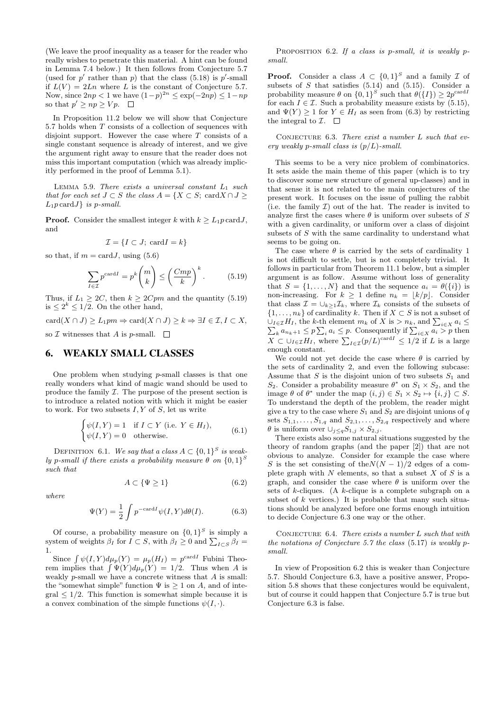(We leave the proof inequality as a teaser for the reader who really wishes to penetrate this material. A hint can be found in Lemma 7.4 below.) It then follows from Conjecture 5.7 (used for  $p'$  rather than  $p$ ) that the class (5.18) is  $p'$ -small if  $L(V) = 2Ln$  where L is the constant of Conjecture 5.7. Now, since  $2np < 1$  we have  $(1-p)^{2n} \le \exp(-2np) \le 1 - np$ so that  $p' \geq np \geq Vp$ .

In Proposition 11.2 below we will show that Conjecture 5.7 holds when T consists of a collection of sequences with disjoint support. However the case where  $T$  consists of a single constant sequence is already of interest, and we give the argument right away to ensure that the reader does not miss this important computation (which was already implicitly performed in the proof of Lemma 5.1).

LEMMA 5.9. There exists a universal constant  $L_1$  such that for each set  $J \subset S$  the class  $A = \{X \subset S; \text{ card } X \cap J \geq \emptyset\}$  $L_1p \text{ card} J$  is p-small.

**Proof.** Consider the smallest integer k with  $k > L_1 p \text{ card} J$ , and

$$
\mathcal{I} = \{I \subset J; \,\mathrm{card} I = k\}
$$

so that, if  $m = \text{card} J$ , using (5.6)

$$
\sum_{I \in \mathcal{I}} p^{\text{card}I} = p^k \binom{m}{k} \le \left(\frac{Cmp}{k}\right)^k. \tag{5.19}
$$

Thus, if  $L_1 \geq 2C$ , then  $k \geq 2Cpm$  and the quantity (5.19) is  $\leq 2^k \leq 1/2$ . On the other hand,

 $card(X \cap J) > L_1pm \Rightarrow card(X \cap J) > k \Rightarrow \exists I \in \mathcal{I}, I \subset X,$ 

so  $\mathcal I$  witnesses that  $A$  is p-small.  $\square$ 

#### 6. WEAKLY SMALL CLASSES

One problem when studying  $p$ -small classes is that one really wonders what kind of magic wand should be used to produce the family  $I$ . The purpose of the present section is to introduce a related notion with which it might be easier to work. For two subsets  $I, Y$  of  $S$ , let us write

$$
\begin{cases} \psi(I, Y) = 1 & \text{if } I \subset Y \text{ (i.e. } Y \in H_I), \\ \psi(I, Y) = 0 & \text{otherwise.} \end{cases} \tag{6.1}
$$

DEFINITION 6.1. We say that a class  $A \subset \{0,1\}^S$  is weakly p-small if there exists a probability measure  $\theta$  on  $\{0,1\}^S$ such that

$$
A \subset \{\Psi \ge 1\} \tag{6.2}
$$

where

$$
\Psi(Y) = \frac{1}{2} \int p^{-\text{card}I} \psi(I, Y) d\theta(I). \tag{6.3}
$$

Of course, a probability measure on  $\{0,1\}^S$  is simply a system of weights  $\beta_I$  for  $I \subset S$ , with  $\beta_I \geq 0$  and  $\sum_{I \subset S} \beta_I =$ 1.

Since  $\int \psi(I, Y) d\mu_p(Y) = \mu_p(H_I) = p^{\text{card }I}$  Fubini Theorem implies that  $\int \Psi(Y) d\mu_p(Y) = 1/2$ . Thus when A is weakly  $p$ -small we have a concrete witness that  $A$  is small: the "somewhat simple" function  $\Psi$  is  $\geq 1$  on A, and of inte- $\text{grad} \leq 1/2$ . This function is somewhat simple because it is a convex combination of the simple functions  $\psi(I, \cdot)$ .

PROPOSITION 6.2. If a class is p-small, it is weakly psmall.

**Proof.** Consider a class  $A \subset \{0,1\}^S$  and a family  $\mathcal I$  of subsets of  $S$  that satisfies  $(5.14)$  and  $(5.15)$ . Consider a probability measure  $\theta$  on  $\{0,1\}^S$  such that  $\theta({I}) \geq 2p^{\text{card}I}$ for each  $I \in \mathcal{I}$ . Such a probability measure exists by (5.15), and  $\Psi(Y) \geq 1$  for  $Y \in H_I$  as seen from (6.3) by restricting the integral to  $\mathcal{I}$ .  $\Box$ 

CONJECTURE 6.3. There exist a number  $L$  such that every weakly p-small class is  $(p/L)$ -small.

This seems to be a very nice problem of combinatorics. It sets aside the main theme of this paper (which is to try to discover some new structure of general up-classes) and in that sense it is not related to the main conjectures of the present work. It focuses on the issue of pulling the rabbit (i.e. the family  $\mathcal I$ ) out of the hat. The reader is invited to analyze first the cases where  $\theta$  is uniform over subsets of S with a given cardinality, or uniform over a class of disjoint subsets of S with the same cardinality to understand what seems to be going on.

The case where  $\theta$  is carried by the sets of cardinality 1 is not difficult to settle, but is not completely trivial. It follows in particular from Theorem 11.1 below, but a simpler argument is as follow. Assume without loss of generality that  $S = \{1, ..., N\}$  and that the sequence  $a_i = \theta(\{i\})$  is non-increasing. For  $k \geq 1$  define  $n_k = \lfloor k/p \rfloor$ . Consider that class  $\mathcal{I} = \bigcup_{k>1} \mathcal{I}_k$ , where  $\mathcal{I}_k$  consists of the subsets of  $\{1,\ldots,n_k\}$  of cardinality k. Then if  $X\subset S$  is not a subset of  $\bigcup_{I \in \mathcal{I}} H_I$ , the k-th element  $m_k$  of X is >  $n_k$ , and  $\sum_{i \in X} a_i \leq \sum_k a_{n_k+1} \leq p \sum_i a_i \leq p$ . Consequently if  $\sum_{i \in X} a_i > p$  then  $X \subset \bigcup_{I \in \mathcal{I}} H_I$ , where  $\sum_{I \in \mathcal{I}} (p/L)^{\text{card} I} \leq 1/2$  if L is a large enough constant.

We could not yet decide the case where  $\theta$  is carried by the sets of cardinality 2, and even the following subcase: Assume that  $S$  is the disjoint union of two subsets  $S_1$  and S<sub>2</sub>. Consider a probability measure  $\theta^*$  on  $S_1 \times S_2$ , and the image  $\theta$  of  $\theta^*$  under the map  $(i, j) \in S_1 \times S_2 \mapsto \{i, j\} \subset S$ . To understand the depth of the problem, the reader might give a try to the case where  $S_1$  and  $S_2$  are disjoint unions of q sets  $S_{1,1}, \ldots, S_{1,q}$  and  $S_{2,1}, \ldots, S_{2,q}$  respectively and where  $\theta$  is uniform over  $\cup_{j\leq q}S_{1,j}\times S_{2,j}$ .

There exists also some natural situations suggested by the theory of random graphs (and the paper [2]) that are not obvious to analyze. Consider for example the case where S is the set consisting of the $N(N-1)/2$  edges of a complete graph with  $N$  elements, so that a subset  $X$  of  $S$  is a graph, and consider the case where  $\theta$  is uniform over the sets of  $k$ -cliques. (A  $k$ -clique is a complete subgraph on a subset of  $k$  vertices.) It is probable that many such situations should be analyzed before one forms enough intuition to decide Conjecture 6.3 one way or the other.

CONJECTURE 6.4. There exists a number  $L$  such that with the notations of Conjecture 5.7 the class (5.17) is weakly psmall.

In view of Proposition 6.2 this is weaker than Conjecture 5.7. Should Conjecture 6.3, have a positive answer, Proposition 5.8 shows that these conjectures would be equivalent, but of course it could happen that Conjecture 5.7 is true but Conjecture 6.3 is false.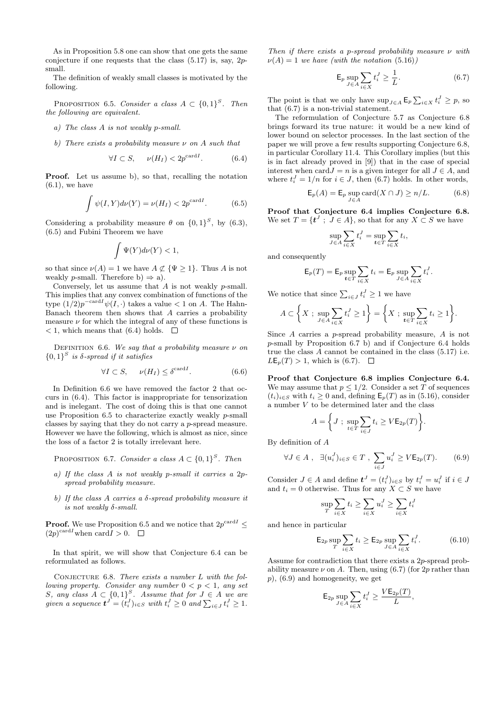As in Proposition 5.8 one can show that one gets the same conjecture if one requests that the class  $(5.17)$  is, say, 2psmall.

The definition of weakly small classes is motivated by the following.

PROPOSITION 6.5. Consider a class  $A \subset \{0,1\}^S$ . Then the following are equivalent.

- a) The class A is not weakly p-small.
- b) There exists a probability measure  $\nu$  on A such that

$$
\forall I \subset S, \quad \nu(H_I) < 2p^{\text{card}I}.\tag{6.4}
$$

Proof. Let us assume b), so that, recalling the notation  $(6.1)$ , we have

$$
\int \psi(I, Y)d\nu(Y) = \nu(H_I) < 2p^{\text{card}I}.\tag{6.5}
$$

Considering a probability measure  $\theta$  on  $\{0,1\}^S$ , by  $(6.3)$ , (6.5) and Fubini Theorem we have

$$
\int \Psi(Y)d\nu(Y)<1,
$$

so that since  $\nu(A) = 1$  we have  $A \not\subset {\Psi \geq 1}$ . Thus A is not weakly *p*-small. Therefore b)  $\Rightarrow$  a).

Conversely, let us assume that  $A$  is not weakly  $p$ -small. This implies that any convex combination of functions of the type  $(1/2)p^{-card I}\psi(I,.)$  takes a value  $\lt 1$  on A. The Hahn-Banach theorem then shows that A carries a probability measure  $\nu$  for which the integral of any of these functions is  $<$  1, which means that (6.4) holds.  $\square$ 

DEFINITION 6.6. We say that a probability measure  $\nu$  on  ${0,1}^S$  is  $\delta$ -spread if it satisfies

$$
\forall I \subset S, \qquad \nu(H_I) \le \delta^{\text{card}I}.\tag{6.6}
$$

In Definition 6.6 we have removed the factor 2 that occurs in (6.4). This factor is inappropriate for tensorization and is inelegant. The cost of doing this is that one cannot use Proposition 6.5 to characterize exactly weakly p-small classes by saying that they do not carry a p-spread measure. However we have the following, which is almost as nice, since the loss of a factor 2 is totally irrelevant here.

PROPOSITION 6.7. Consider a class  $A \subset \{0,1\}^S$ . Then

- a) If the class A is not weakly p-small it carries a 2pspread probability measure.
- b) If the class A carries a  $\delta$ -spread probability measure it is not weakly δ-small.

**Proof.** We use Proposition 6.5 and we notice that  $2p^{\text{card }I} \leq$  $(2p)^{\text{card}I}$  when  $\text{card}I > 0$ .

In that spirit, we will show that Conjecture 6.4 can be reformulated as follows.

CONJECTURE  $6.8$ . There exists a number L with the following property. Consider any number  $0 < p < 1$ , any set S, any class  $A \subset \{0,1\}^S$ . Assume that for  $J \in A$  we are given a sequence  $\boldsymbol{t}^J = (t_i^J)_{i \in S}$  with  $t_i^J \geq 0$  and  $\sum_{i \in J} t_i^J \geq 1$ .

Then if there exists a p-spread probability measure  $\nu$  with  $\nu(A) = 1$  we have (with the notation (5.16))

$$
\mathsf{E}_p \sup_{J \in A} \sum_{i \in X} t_i^J \ge \frac{1}{L}.\tag{6.7}
$$

The point is that we only have  $\sup_{J \in A} \mathsf{E}_p \sum_{i \in X} t_i^J \geq p$ , so that (6.7) is a non-trivial statement.

The reformulation of Conjecture 5.7 as Conjecture 6.8 brings forward its true nature: it would be a new kind of lower bound on selector processes. In the last section of the paper we will prove a few results supporting Conjecture 6.8, in particular Corollary 11.4. This Corollary implies (but this is in fact already proved in [9]) that in the case of special interest when card  $J = n$  is a given integer for all  $J \in A$ , and where  $t_i^J = 1/n$  for  $i \in J$ , then (6.7) holds. In other words,

$$
\mathsf{E}_p(A) = \mathsf{E}_p \sup_{J \in A} \text{card}(X \cap J) \ge n/L. \tag{6.8}
$$

Proof that Conjecture 6.4 implies Conjecture 6.8. We set  $T = \{t^J ; J \in A\}$ , so that for any  $X \subset S$  we have

$$
\sup_{J \in A} \sum_{i \in X} t_i^J = \sup_{t \in T} \sum_{i \in X} t_i,
$$

and consequently

$$
\mathsf{E}_p(T) = \mathsf{E}_p \sup_{\mathbf{t} \in T} \sum_{i \in X} t_i = \mathsf{E}_p \sup_{J \in A} \sum_{i \in X} t_i^J.
$$

We notice that since  $\sum_{i \in J} t_i^J \geq 1$  we have

$$
A \subset \left\{ X \; ; \; \sup_{J \in A} \sum_{i \in X} t_i^J \ge 1 \right\} = \left\{ X \; ; \; \sup_{t \in T} \sum_{i \in X} t_i \ge 1 \right\}.
$$

Since A carries a p-spread probability measure, A is not p-small by Proposition 6.7 b) and if Conjecture 6.4 holds true the class A cannot be contained in the class (5.17) i.e.  $LE_p(T) > 1$ , which is (6.7).  $\Box$ 

Proof that Conjecture 6.8 implies Conjecture 6.4. We may assume that  $p \leq 1/2$ . Consider a set T of sequences  $(t_i)_{i\in S}$  with  $t_i \geq 0$  and, defining  $\mathsf{E}_p(T)$  as in (5.16), consider a number V to be determined later and the class

$$
A = \left\{ J \; ; \; \sup_{t \in T} \sum_{i \in J} t_i \ge V \mathsf{E}_{2p}(T) \right\}.
$$

By definition of A

$$
\forall J \in A , \quad \exists (u_i^J)_{i \in S} \in T , \sum_{i \in J} u_i^J \ge V \mathsf{E}_{2p}(T). \tag{6.9}
$$

Consider  $J \in A$  and define  $\mathbf{t}^{J} = (t_i^J)_{i \in S}$  by  $t_i^J = u_i^J$  if  $i \in J$ and  $t_i = 0$  otherwise. Thus for any  $\overline{X} \subset \overline{S}$  we have

$$
\sup_{T} \sum_{i \in X} t_i \ge \sum_{i \in X} u_i^J \ge \sum_{i \in X} t_i^J
$$

and hence in particular

$$
\mathsf{E}_{2p} \sup_{T} \sum_{i \in X} t_i \ge \mathsf{E}_{2p} \sup_{J \in A} \sum_{i \in X} t_i^J. \tag{6.10}
$$

Assume for contradiction that there exists a 2p-spread probability measure  $\nu$  on A. Then, using (6.7) (for 2p rather than  $p$ ), (6.9) and homogeneity, we get

$$
\mathsf{E}_{2p} \sup_{J \in A} \sum_{i \in X} t_i^J \ge \frac{V \mathsf{E}_{2p}(T)}{L},
$$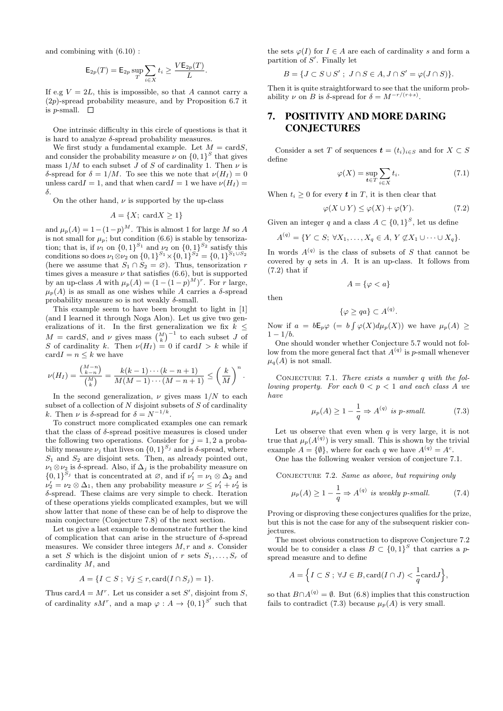and combining with (6.10) :

$$
\mathsf{E}_{2p}(T) = \mathsf{E}_{2p} \sup_T \sum_{i \in X} t_i \ge \frac{V \mathsf{E}_{2p}(T)}{L}.
$$

If e.g  $V = 2L$ , this is impossible, so that A cannot carry a  $(2p)$ -spread probability measure, and by Proposition 6.7 it is *p*-small.  $\square$ 

One intrinsic difficulty in this circle of questions is that it is hard to analyze  $\delta$ -spread probability measures.

We first study a fundamental example. Let  $M = \text{card}S$ , and consider the probability measure  $\nu$  on  $\{0,1\}^S$  that gives mass  $1/M$  to each subset J of S of cardinality 1. Then  $\nu$  is δ-spread for  $\delta = 1/M$ . To see this we note that  $\nu(H_I) = 0$ unless card  $I = 1$ , and that when card  $I = 1$  we have  $\nu(H_I) =$ δ.

On the other hand,  $\nu$  is supported by the up-class

$$
A = \{X; \,\text{card}X \ge 1\}
$$

and  $\mu_p(A) = 1 - (1-p)^M$ . This is almost 1 for large M so A is not small for  $\mu_p$ ; but condition (6.6) is stable by tensorization; that is, if  $\nu_1$  on  $\{0,1\}^{S_1}$  and  $\nu_2$  on  $\{0,1\}^{S_2}$  satisfy this conditions so does  $\nu_1 \otimes \nu_2$  on  $\{0,1\}^{S_1} \times \{0,1\}^{S_2} = \{0,1\}^{S_1 \cup S_2}$ (here we assume that  $S_1 \cap S_2 = \emptyset$ ). Thus, tensorization r times gives a measure  $\nu$  that satisfies (6.6), but is supported by an up-class A with  $\mu_p(A) = (1 - (1 - p)^M)^r$ . For r large,  $\mu_p(A)$  is as small as one wishes while A carries a  $\delta$ -spread probability measure so is not weakly  $\delta$ -small.

This example seem to have been brought to light in [1] (and I learned it through Noga Alon). Let us give two generalizations of it. In the first generalization we fix  $k \leq$  $M = \text{card}S$ , and  $\nu$  gives mass  $\binom{M}{k}^{-1}$  to each subset J of S of cardinality k. Then  $\nu(H_I) = 0$  if card  $I > k$  while if  $\text{card} I = n \leq k$  we have

$$
\nu(H_I) = \frac{\binom{M-n}{k-n}}{\binom{M}{k}} = \frac{k(k-1)\cdots(k-n+1)}{M(M-1)\cdots(M-n+1)} \leq \left(\frac{k}{M}\right)^n.
$$

In the second generalization,  $\nu$  gives mass  $1/N$  to each subset of a collection of  $N$  disjoint subsets of  $S$  of cardinality k. Then  $\nu$  is  $\delta$ -spread for  $\delta = N^{-1/k}$ .

To construct more complicated examples one can remark that the class of  $\delta$ -spread positive measures is closed under the following two operations. Consider for  $j = 1, 2$  a probability measure  $\nu_j$  that lives on  $\{0,1\}^{S_j}$  and is  $\delta$ -spread, where  $S_1$  and  $S_2$  are disjoint sets. Then, as already pointed out,  $\nu_1 \otimes \nu_2$  is δ-spread. Also, if  $\Delta_i$  is the probability measure on  ${0,1}^{S_j}$  that is concentrated at  $\varnothing$ , and if  $\nu'_1 = \nu_1 \otimes \Delta_2$  and  $\nu'_2 = \nu_2 \otimes \Delta_1$ , then any probability measure  $\nu \leq \nu'_1 + \nu'_2$  is δ-spread. These claims are very simple to check. Iteration of these operations yields complicated examples, but we will show latter that none of these can be of help to disprove the main conjecture (Conjecture 7.8) of the next section.

Let us give a last example to demonstrate further the kind of complication that can arise in the structure of  $\delta$ -spread measures. We consider three integers  $M, r$  and s. Consider a set S which is the disjoint union of r sets  $S_1, \ldots, S_r$  of cardinality M, and

$$
A = \{I \subset S \; ; \; \forall j \le r, \text{card}(I \cap S_j) = 1\}.
$$

Thus card  $A = M^r$ . Let us consider a set S', disjoint from S, of cardinality  $sM^r$ , and a map  $\varphi: A \to \{0,1\}^{S'}$  such that the sets  $\varphi(I)$  for  $I \in A$  are each of cardinality s and form a partition of  $S'$ . Finally let

$$
B = \{ J \subset S \cup S' ; J \cap S \in A, J \cap S' = \varphi(J \cap S) \}.
$$

Then it is quite straightforward to see that the uniform probability  $\nu$  on B is  $\delta$ -spread for  $\delta = M^{-r/(r+s)}$ .

# 7. POSITIVITY AND MORE DARING CONJECTURES

Consider a set T of sequences  $t = (t_i)_{i \in S}$  and for  $X \subset S$ define

$$
\varphi(X) = \sup_{t \in T} \sum_{i \in X} t_i.
$$
\n(7.1)

When  $t_i \geq 0$  for every  $t$  in  $T$ , it is then clear that

$$
\varphi(X \cup Y) \le \varphi(X) + \varphi(Y). \tag{7.2}
$$

Given an integer q and a class  $A \subset \{0,1\}^S$ , let us define

$$
A^{(q)} = \{ Y \subset S; \ \forall X_1, \dots, X_q \in A, \ Y \not\subset X_1 \cup \dots \cup X_q \}.
$$

In words  $A^{(q)}$  is the class of subsets of S that cannot be covered by  $q$  sets in  $A$ . It is an up-class. It follows from (7.2) that if

$$
A = \{ \varphi < a \}
$$

then

$$
\{\varphi \ge qa\} \subset A^{(q)}.
$$

Now if  $a = b \mathsf{E}_p \varphi (= b \int \varphi(X) d\mu_p(X))$  we have  $\mu_p(A) \geq$  $1 - 1/b$ .

One should wonder whether Conjecture 5.7 would not follow from the more general fact that  $A^{(q)}$  is p-small whenever  $\mu_q(A)$  is not small.

CONJECTURE 7.1. There exists a number  $q$  with the following property. For each  $0 \leq p \leq 1$  and each class A we have

$$
\mu_p(A) \ge 1 - \frac{1}{q} \Rightarrow A^{(q)} \text{ is } p\text{-small.}
$$
 (7.3)

Let us observe that even when  $q$  is very large, it is not true that  $\mu_p(A^{(q)})$  is very small. This is shown by the trivial example  $A = \{\emptyset\}$ , where for each q we have  $A^{(q)} = A^c$ .

One has the following weaker version of conjecture 7.1.

CONJECTURE 7.2. Same as above, but requiring only

$$
\mu_p(A) \ge 1 - \frac{1}{q} \Rightarrow A^{(q)} \text{ is weakly } p\text{-small.}
$$
 (7.4)

Proving or disproving these conjectures qualifies for the prize, but this is not the case for any of the subsequent riskier conjectures.

The most obvious construction to disprove Conjecture 7.2 would be to consider a class  $B \subset \{0,1\}^S$  that carries a pspread measure and to define

$$
A = \Big\{ I \subset S \; ; \; \forall J \in B, \operatorname{card}(I \cap J) < \frac{1}{q} \operatorname{card} J \Big\},
$$

so that  $B \cap A^{(q)} = \emptyset$ . But (6.8) implies that this construction fails to contradict (7.3) because  $\mu_p(A)$  is very small.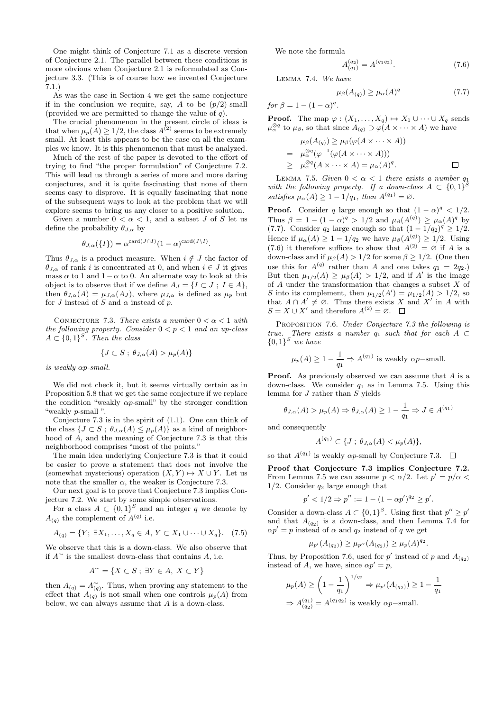One might think of Conjecture 7.1 as a discrete version of Conjecture 2.1. The parallel between these conditions is more obvious when Conjecture 2.1 is reformulated as Conjecture 3.3. (This is of course how we invented Conjecture 7.1.)

As was the case in Section 4 we get the same conjecture if in the conclusion we require, say, A to be  $(p/2)$ -small (provided we are permitted to change the value of  $q$ ).

The crucial phenomenon in the present circle of ideas is that when  $\mu_p(A) \geq 1/2$ , the class  $A^{(2)}$  seems to be extremely small. At least this appears to be the case on all the examples we know. It is this phenomenon that must be analyzed.

Much of the rest of the paper is devoted to the effort of trying to find "the proper formulation" of Conjecture 7.2. This will lead us through a series of more and more daring conjectures, and it is quite fascinating that none of them seems easy to disprove. It is equally fascinating that none of the subsequent ways to look at the problem that we will explore seems to bring us any closer to a positive solution.

Given a number  $0 < \alpha < 1$ , and a subset J of S let us define the probability  $\theta_{J,\alpha}$  by

$$
\theta_{J,\alpha}(\{I\}) = \alpha^{\operatorname{card}(J \cap I)}(1-\alpha)^{\operatorname{card}(J \setminus I)}.
$$

Thus  $\theta_{J,\alpha}$  is a product measure. When  $i \notin J$  the factor of  $\theta_{J,\alpha}$  of rank i is concentrated at 0, and when  $i \in J$  it gives mass  $\alpha$  to 1 and 1 –  $\alpha$  to 0. An alternate way to look at this object is to observe that if we define  $A_J = \{I \subset J : I \in A\},\$ then  $\theta_{J,\alpha}(A) = \mu_{J,\alpha}(A_J)$ , where  $\mu_{J,\alpha}$  is defined as  $\mu_p$  but for J instead of S and  $\alpha$  instead of p.

CONJECTURE 7.3. There exists a number  $0 < \alpha < 1$  with the following property. Consider  $0 < p < 1$  and an up-class  $A \subset \{0,1\}^S$ . Then the class

$$
\{J \subset S \; ; \; \theta_{J,\alpha}(A) > \mu_p(A)\}
$$

is weakly αp-small.

We did not check it, but it seems virtually certain as in Proposition 5.8 that we get the same conjecture if we replace the condition "weakly  $\alpha p$ -small" by the stronger condition "weakly p-small ".

Conjecture 7.3 is in the spirit of (1.1). One can think of the class  $\{J \subset S : \theta_{J,\alpha}(A) \leq \mu_p(A)\}\$ as a kind of neighborhood of A, and the meaning of Conjecture 7.3 is that this neighborhood comprises "most of the points."

The main idea underlying Conjecture 7.3 is that it could be easier to prove a statement that does not involve the (somewhat mysterious) operation  $(X, Y) \mapsto X \cup Y$ . Let us note that the smaller  $\alpha$ , the weaker is Conjecture 7.3.

Our next goal is to prove that Conjecture 7.3 implies Conjecture 7.2. We start by some simple observations.

For a class  $A \subset \{0,1\}^S$  and an integer q we denote by  $A_{(q)}$  the complement of  $A^{(q)}$  i.e.

$$
A_{(q)} = \{ Y; \ \exists X_1, \dots, X_q \in A, \ Y \subset X_1 \cup \dots \cup X_q \}. \tag{7.5}
$$

We observe that this is a down-class. We also observe that if  $A^{\sim}$  is the smallest down-class that contains A, i.e.

$$
A^{\sim} = \{ X \subset S \; ; \; \exists Y \in A, \; X \subset Y \}
$$

then  $A_{(q)} = A_{(q)}^{\sim}$ . Thus, when proving any statement to the effect that  $A_{(q)}^{(q)}$  is not small when one controls  $\mu_p(A)$  from below, we can always assume that  $A$  is a down-class.

We note the formula

$$
A_{(q_1)}^{(q_2)} = A^{(q_1 q_2)}.
$$
 (7.6)

Lemma 7.4. We have

$$
\mu_{\beta}(A_{(q)}) \ge \mu_{\alpha}(A)^q \tag{7.7}
$$

for  $\beta = 1 - (1 - \alpha)^q$ .

**Proof.** The map  $\varphi : (X_1, \ldots, X_q) \mapsto X_1 \cup \cdots \cup X_q$  sends  $\mu_{\alpha}^{\otimes q}$  to  $\mu_{\beta}$ , so that since  $A_{(q)} \supset \varphi(A \times \cdots \times A)$  we have

$$
\mu_{\beta}(A_{(q)}) \ge \mu_{\beta}(\varphi(A \times \cdots \times A))
$$
  
=  $\mu_{\alpha}^{\otimes q}(\varphi^{-1}(\varphi(A \times \cdots \times A)))$   
 $\ge \mu_{\alpha}^{\otimes q}(A \times \cdots \times A) = \mu_{\alpha}(A)^{q}.$ 

LEMMA 7.5. Given  $0 < \alpha < 1$  there exists a number  $q_1$ with the following property. If a down-class  $A \subset \{0,1\}^S$ satisfies  $\mu_{\alpha}(A) \geq 1 - 1/q_1$ , then  $A^{(q_1)} = \emptyset$ .

**Proof.** Consider q large enough so that  $(1 - \alpha)^q < 1/2$ . Thus  $\beta = 1 - (1 - \alpha)^q > 1/2$  and  $\mu_\beta(A^{(q)}) \ge \mu_\alpha(A)^q$  by (7.7). Consider  $q_2$  large enough so that  $(1 - 1/q_2)^q \geq 1/2$ . Hence if  $\mu_{\alpha}(A) \geq 1 - 1/q_2$  we have  $\mu_{\beta}(A^{(q)}) \geq 1/2$ . Using (7.6) it therefore suffices to show that  $A^{(2)} = \emptyset$  if A is a down-class and if  $\mu_{\beta}(A) > 1/2$  for some  $\beta \geq 1/2$ . (One then use this for  $A^{(q)}$  rather than A and one takes  $q_1 = 2q_2$ . But then  $\mu_{1/2}(A) \geq \mu_{\beta}(A) > 1/2$ , and if A' is the image of A under the transformation that changes a subset X of S into its complement, then  $\mu_{1/2}(A') = \mu_{1/2}(A) > 1/2$ , so that  $A \cap A' \neq \emptyset$ . Thus there exists X and X' in A with  $S = X \cup X'$  and therefore  $A^{(2)} = \emptyset$ .

PROPOSITION 7.6. Under Conjecture 7.3 the following is true. There exists a number  $q_1$  such that for each  $A \subset$  ${0,1}^S$  we have

$$
\mu_p(A) \ge 1 - \frac{1}{q_1} \Rightarrow A^{(q_1)}
$$
 is weakly  $\alpha p$ -small.

**Proof.** As previously observed we can assume that  $A$  is a down-class. We consider  $q_1$  as in Lemma 7.5. Using this lemma for J rather than S yields

$$
\theta_{J,\alpha}(A) > \mu_p(A) \Rightarrow \theta_{J,\alpha}(A) \ge 1 - \frac{1}{q_1} \Rightarrow J \in A^{(q_1)}
$$

and consequently

$$
A^{(q_1)} \subset \{J \; ; \; \theta_{J,\alpha}(A) < \mu_p(A)\},
$$

so that  $A^{(q_1)}$  is weakly  $\alpha p$ -small by Conjecture 7.3.

Proof that Conjecture 7.3 implies Conjecture 7.2. From Lemma 7.5 we can assume  $p < \alpha/2$ . Let  $p' = p/\alpha$  $1/2$ . Consider  $q_2$  large enough that

$$
p' < 1/2 \Rightarrow p'' := 1 - (1 - \alpha p')^{q_2} \ge p'.
$$

Consider a down-class  $A \subset \{0,1\}^S$ . Using first that  $p'' \geq p'$ and that  $A_{(q_2)}$  is a down-class, and then Lemma 7.4 for  $\alpha p' = p$  instead of  $\alpha$  and  $q_2$  instead of q we get

$$
\mu_{p'}(A_{(q_2)}) \ge \mu_{p''}(A_{(q_2)}) \ge \mu_p(A)^{q_2}.
$$

Thus, by Proposition 7.6, used for  $p'$  instead of p and  $A_{(q_2)}$ instead of A, we have, since  $\alpha p' = p$ ,

$$
\mu_p(A) \ge \left(1 - \frac{1}{q_1}\right)^{1/q_2} \Rightarrow \mu_{p'}(A_{(q_2)}) \ge 1 - \frac{1}{q_1}
$$
  
\n
$$
\Rightarrow A_{(q_2)}^{(q_1)} = A^{(q_1 q_2)} \text{ is weakly } \alpha p\text{-small.}
$$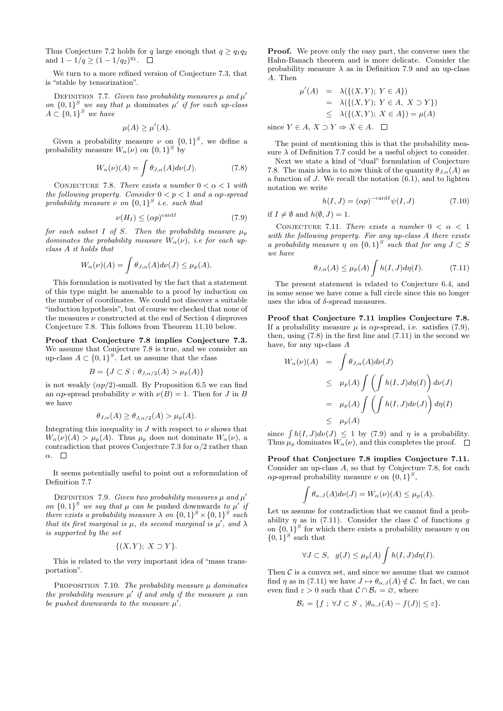Thus Conjecture 7.2 holds for q large enough that  $q \geq q_1q_2$ and  $1 - 1/q \ge (1 - 1/q_2)^{q_2}$ .

We turn to a more refined version of Conjecture 7.3, that is "stable by tensorization".

DEFINITION 7.7. Given two probability measures  $\mu$  and  $\mu'$ on  ${0,1}^S$  we say that  $\mu$  dominates  $\mu'$  if for each up-class  $A \subset \{0,1\}^S$  we have

$$
\mu(A) \ge \mu'(A).
$$

Given a probability measure  $\nu$  on  $\{0,1\}^S$ , we define a probability measure  $W_{\alpha}(\nu)$  on  $\{0,1\}^S$  by

$$
W_{\alpha}(\nu)(A) = \int \theta_{J,\alpha}(A) d\nu(J). \tag{7.8}
$$

CONJECTURE 7.8. There exists a number  $0 < \alpha < 1$  with the following property. Consider  $0 < p < 1$  and a  $\alpha p$ -spread probability measure  $\nu$  on  $\{0,1\}^S$  i.e. such that

$$
\nu(H_I) \le (\alpha p)^{\text{card}I} \tag{7.9}
$$

for each subset I of S. Then the probability measure  $\mu_p$ dominates the probability measure  $W_{\alpha}(\nu)$ , i.e for each upclass A it holds that

$$
W_{\alpha}(\nu)(A) = \int \theta_{J,\alpha}(A) d\nu(J) \leq \mu_p(A).
$$

This formulation is motivated by the fact that a statement of this type might be amenable to a proof by induction on the number of coordinates. We could not discover a suitable "induction hypothesis", but of course we checked that none of the measures  $\nu$  constructed at the end of Section 4 disproves Conjecture 7.8. This follows from Theorem 11.10 below.

Proof that Conjecture 7.8 implies Conjecture 7.3. We assume that Conjecture 7.8 is true, and we consider an up-class  $A \subset \{0,1\}^S$ . Let us assume that the class

$$
B = \{ J \subset S \; ; \; \theta_{J,\alpha/2}(A) > \mu_p(A) \}
$$

is not weakly  $(\alpha p/2)$ -small. By Proposition 6.5 we can find an  $\alpha p$ -spread probability  $\nu$  with  $\nu(B) = 1$ . Then for J in B we have

$$
\theta_{J,\alpha}(A) \ge \theta_{J,\alpha/2}(A) > \mu_p(A).
$$

Integrating this inequality in  $J$  with respect to  $\nu$  shows that  $W_{\alpha}(\nu)(A) > \mu_p(A)$ . Thus  $\mu_p$  does not dominate  $W_{\alpha}(\nu)$ , a contradiction that proves Conjecture 7.3 for  $\alpha/2$  rather than  $\alpha$ .  $\square$ 

It seems potentially useful to point out a reformulation of Definition 7.7

DEFINITION 7.9. Given two probability measures  $\mu$  and  $\mu'$ on  $\{0,1\}^S$  we say that  $\mu$  can be pushed downwards to  $\mu'$  if there exists a probability measure  $\lambda$  on  $\{0,1\}^S \times \{0,1\}^S$  such that its first marginal is  $\mu$ , its second marginal is  $\mu'$ , and  $\lambda$ is supported by the set

$$
\{(X,Y); X \supset Y\}.
$$

This is related to the very important idea of "mass transportation".

PROPOSITION 7.10. The probability measure  $\mu$  dominates the probability measure  $\mu'$  if and only if the measure  $\mu$  can be pushed downwards to the measure  $\mu'$ .

Proof. We prove only the easy part, the converse uses the Hahn-Banach theorem and is more delicate. Consider the probability measure  $\lambda$  as in Definition 7.9 and an up-class A. Then

$$
\mu'(A) = \lambda(\{(X, Y); Y \in A\})
$$
  
=  $\lambda(\{(X, Y); Y \in A, X \supset Y\})$   
 $\leq \lambda(\{(X, Y); X \in A\}) = \mu(A)$ 

since  $Y \in A$ ,  $X \supset Y \Rightarrow X \in A$ .  $\square$ 

The point of mentioning this is that the probability measure  $\lambda$  of Definition 7.7 could be a useful object to consider.

Next we state a kind of "dual" formulation of Conjecture 7.8. The main idea is to now think of the quantity  $\theta_{J,\alpha}(A)$  as a function of J. We recall the notation (6.1), and to lighten notation we write

$$
h(I,J) = (\alpha p)^{-\text{card}I} \psi(I,J) \tag{7.10}
$$

if  $I \neq \emptyset$  and  $h(\emptyset, J) = 1$ .

CONJECTURE 7.11. There exists a number  $0 < \alpha < 1$ with the following property. For any up-class A there exists a probability measure  $\eta$  on  $\{0,1\}^S$  such that for any  $J \subset S$ we have

$$
\theta_{J,\alpha}(A) \le \mu_p(A) \int h(I,J) d\eta(I). \tag{7.11}
$$

The present statement is related to Conjecture 6.4, and in some sense we have come a full circle since this no longer uses the idea of  $\delta$ -spread measures.

Proof that Conjecture 7.11 implies Conjecture 7.8. If a probability measure  $\mu$  is  $\alpha p$ -spread, i.e. satisfies (7.9), then, using  $(7.8)$  in the first line and  $(7.11)$  in the second we have, for any up-class A

$$
W_{\alpha}(\nu)(A) = \int \theta_{J,\alpha}(A) d\nu(J)
$$
  
\n
$$
\leq \mu_{p}(A) \int \left( \int h(I,J) d\eta(I) \right) d\nu(J)
$$
  
\n
$$
= \mu_{p}(A) \int \left( \int h(I,J) d\nu(J) \right) d\eta(I)
$$
  
\n
$$
\leq \mu_{p}(A)
$$

since  $\int h(I, J)d\nu(J) \leq 1$  by (7.9) and  $\eta$  is a probability. Thus  $\mu_p$  dominates  $W_\alpha(\nu)$ , and this completes the proof.  $\Box$ 

Proof that Conjecture 7.8 implies Conjecture 7.11. Consider an up-class A, so that by Conjecture 7.8, for each  $\alpha p$ -spread probability measure  $\nu$  on  $\{0,1\}^S$ ,

$$
\int \theta_{\alpha,J}(A)d\nu(J) = W_{\alpha}(\nu)(A) \leq \mu_p(A).
$$

Let us assume for contradiction that we cannot find a probability  $\eta$  as in (7.11). Consider the class C of functions g on  $\{0,1\}^S$  for which there exists a probability measure  $\eta$  on  $\{0,1\}^S$  such that

$$
\forall J \subset S, \quad g(J) \leq \mu_p(A) \int h(I, J) d\eta(I).
$$

Then  $\mathcal C$  is a convex set, and since we assume that we cannot find  $\eta$  as in (7.11) we have  $J \mapsto \theta_{\alpha,J}(A) \notin \mathcal{C}$ . In fact, we can even find  $\varepsilon > 0$  such that  $\mathcal{C} \cap \mathcal{B}_{\varepsilon} = \varnothing$ , where

$$
\mathcal{B}_{\varepsilon} = \{ f ; \forall J \subset S , |\theta_{\alpha,J}(A) - f(J)| \leq \varepsilon \}.
$$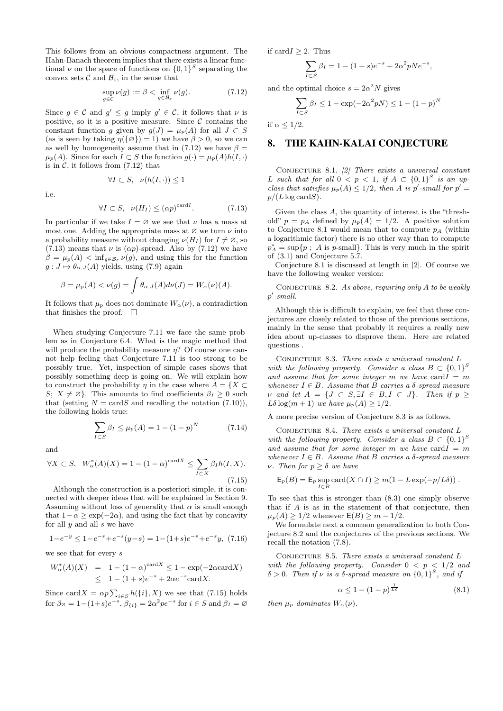This follows from an obvious compactness argument. The Hahn-Banach theorem implies that there exists a linear functional  $\nu$  on the space of functions on  $\{0,1\}^S$  separating the convex sets  $\mathcal C$  and  $\mathcal B_{\varepsilon}$ , in the sense that

$$
\sup_{g \in \mathcal{C}} \nu(g) := \beta < \inf_{g \in \mathcal{B}_{\varepsilon}} \nu(g). \tag{7.12}
$$

Since  $g \in \mathcal{C}$  and  $g' \leq g$  imply  $g' \in \mathcal{C}$ , it follows that  $\nu$  is positive, so it is a positive measure. Since  $\mathcal C$  contains the constant function g given by  $g(J) = \mu_p(A)$  for all  $J \subset S$ (as is seen by taking  $\eta(\{\emptyset\}) = 1$ ) we have  $\beta > 0$ , so we can as well by homogeneity assume that in (7.12) we have  $\beta =$  $\mu_p(A)$ . Since for each  $I \subset S$  the function  $g(\cdot) = \mu_p(A)h(I, \cdot)$ is in  $C$ , it follows from  $(7.12)$  that

 $\forall I \subset S, \nu(h(I, \cdot)) \leq 1$ 

i.e.

$$
f_{\rm{max}}
$$

$$
\forall I \subset S, \quad \nu(H_I) \le (\alpha p)^{\text{card}I}.
$$
 (7.13)

In particular if we take  $I = \emptyset$  we see that  $\nu$  has a mass at most one. Adding the appropriate mass at  $\varnothing$  we turn  $\nu$  into a probability measure without changing  $\nu(H_I)$  for  $I \neq \emptyset$ , so (7.13) means that  $\nu$  is  $(\alpha p)$ -spread. Also by (7.12) we have  $\beta = \mu_p(A) < \inf_{g \in \mathcal{B}_{\varepsilon}} \nu(g)$ , and using this for the function  $g: J \mapsto \theta_{\alpha,J}(A)$  yields, using (7.9) again

$$
\beta = \mu_p(A) < \nu(g) = \int \theta_{\alpha,J}(A) d\nu(J) = W_\alpha(\nu)(A).
$$

It follows that  $\mu_p$  does not dominate  $W_\alpha(\nu)$ , a contradiction that finishes the proof.  $\square$ 

When studying Conjecture 7.11 we face the same problem as in Conjecture 6.4. What is the magic method that will produce the probability measure  $\eta$ ? Of course one cannot help feeling that Conjecture 7.11 is too strong to be possibly true. Yet, inspection of simple cases shows that possibly something deep is going on. We will explain how to construct the probability  $\eta$  in the case where  $A = \{X \subset$ S;  $X \neq \emptyset$ . This amounts to find coefficients  $\beta_I \geq 0$  such that (setting  $N = \text{card}S$  and recalling the notation (7.10)), the following holds true:

$$
\sum_{I \subset S} \beta_I \le \mu_p(A) = 1 - (1 - p)^N \tag{7.14}
$$

and

$$
\forall X \subset S, \quad W_{\alpha}^*(A)(X) = 1 - (1 - \alpha)^{\text{card}X} \le \sum_{I \subset X} \beta_I h(I, X). \tag{7.15}
$$

Although the construction is a posteriori simple, it is connected with deeper ideas that will be explained in Section 9. Assuming without loss of generality that  $\alpha$  is small enough that  $1-\alpha \geq \exp(-2\alpha)$ , and using the fact that by concavity for all  $y$  and all  $s$  we have

$$
1 - e^{-y} \le 1 - e^{-s} + e^{-s}(y - s) = 1 - (1 + s)e^{-s} + e^{-s}y, (7.16)
$$

we see that for every s

$$
W_{\alpha}^{*}(A)(X) = 1 - (1 - \alpha)^{\text{card}X} \le 1 - \exp(-2\alpha \text{card}X)
$$
  
 
$$
\le 1 - (1 + s)e^{-s} + 2\alpha e^{-s}\text{card}X.
$$

Since card  $X = \alpha p \sum_{i \in S} h(\{i\}, X)$  we see that (7.15) holds for  $\beta_{\emptyset} = 1 - (1+s)e^{-s}$ ,  $\beta_{\{i\}} = 2\alpha^2 pe^{-s}$  for  $i \in S$  and  $\beta_I = \emptyset$  if card $I \geq 2$ . Thus

$$
\sum_{I \subset S} \beta_I = 1 - (1+s)e^{-s} + 2\alpha^2 pNe^{-s},
$$

and the optimal choice  $s = 2\alpha^2 N$  gives

$$
\sum_{I \subset S} \beta_I \le 1 - \exp(-2\alpha^2 pN) \le 1 - (1 - p)^N
$$

if  $\alpha \leq 1/2$ .

## 8. THE KAHN-KALAI CONJECTURE

CONJECTURE 8.1.  $[2]$  There exists a universal constant L such that for all  $0 < p < 1$ , if  $A \subset \{0,1\}^S$  is an upclass that satisfies  $\mu_p(A) \leq 1/2$ , then A is p'-small for  $p' =$  $p/(L \log \text{card} S)$ .

Given the class A, the quantity of interest is the "threshold"  $p = p_A$  defined by  $\mu_p(A) = 1/2$ . A positive solution to Conjecture 8.1 would mean that to compute  $p_A$  (within a logarithmic factor) there is no other way than to compute  $p_A^* = \sup\{p \; ; \; A \text{ is } p\text{-small}\}.$  This is very much in the spirit of (3.1) and Conjecture 5.7.

Conjecture 8.1 is discussed at length in [2]. Of course we have the following weaker version:

CONJECTURE 8.2. As above, requiring only  $A$  to be weakly  $p'$ -small.

Although this is difficult to explain, we feel that these conjectures are closely related to those of the previous sections, mainly in the sense that probably it requires a really new idea about up-classes to disprove them. Here are related questions .

CONJECTURE 8.3. There exists a universal constant  ${\cal L}$ with the following property. Consider a class  $B \subset \{0,1\}^S$ and assume that for some integer m we have card  $I = m$ whenever  $I \in B$ . Assume that B carries a  $\delta$ -spread measure  $\nu$  and let  $A = \{J \subset S, \exists I \in B, I \subset J\}$ . Then if  $p \geq$ Lδ log(m + 1) we have  $\mu_p(A) \geq 1/2$ .

A more precise version of Conjecture 8.3 is as follows.

CONJECTURE 8.4. There exists a universal constant  $L$ with the following property. Consider a class  $B \subset \{0,1\}^S$ and assume that for some integer m we have card  $I = m$ whenever  $I \in B$ . Assume that B carries a  $\delta$ -spread measure  $ν$ . Then for  $p \geq δ$  we have

$$
\mathsf{E}_p(B) = \mathsf{E}_p \sup_{I \in B} \text{card}(X \cap I) \geq m(1 - L \exp(-p/L\delta)).
$$

To see that this is stronger than (8.3) one simply observe that if A is as in the statement of that conjecture, then  $\mu_p(A) \geq 1/2$  whenever  $E(B) \geq m - 1/2$ .

We formulate next a common generalization to both Conjecture 8.2 and the conjectures of the previous sections. We recall the notation (7.8).

CONJECTURE 8.5. There exists a universal constant  $L$ with the following property. Consider  $0 < p < 1/2$  and  $\delta > 0$ . Then if v is a  $\delta$ -spread measure on  $\{0,1\}^S$ , and if

$$
\alpha \le 1 - (1 - p)^{\frac{1}{L\delta}} \tag{8.1}
$$

then  $\mu_p$  dominates  $W_\alpha(\nu)$ .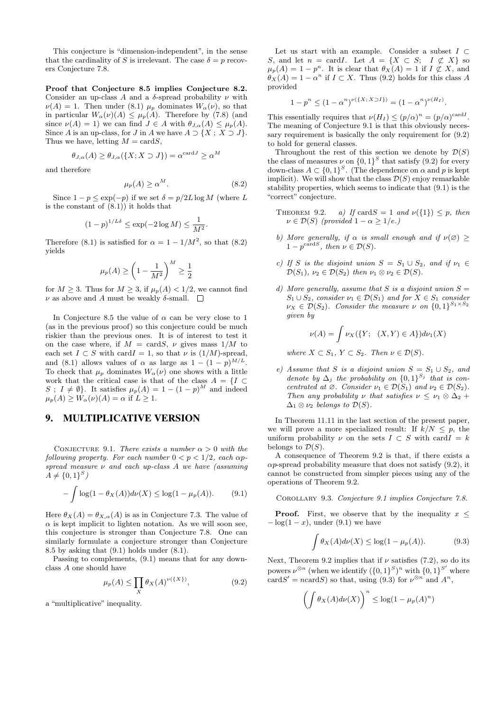This conjecture is "dimension-independent", in the sense that the cardinality of S is irrelevant. The case  $\delta = p$  recovers Conjecture 7.8.

Proof that Conjecture 8.5 implies Conjecture 8.2. Consider an up-class A and a  $\delta$ -spread probability  $\nu$  with  $\nu(A) = 1$ . Then under (8.1)  $\mu_p$  dominates  $W_\alpha(\nu)$ , so that in particular  $W_{\alpha}(\nu)(A) \leq \mu_{p}(A)$ . Therefore by (7.8) (and since  $\nu(A) = 1$ ) we can find  $J \in A$  with  $\theta_{J,\alpha}(A) \leq \mu_p(A)$ . Since A is an up-class, for J in A we have  $A \supset \{X : X \supset J\}.$ Thus we have, letting  $M = \text{card} S$ ,

$$
\theta_{J,\alpha}(A) \ge \theta_{J,\alpha}(\{X; X \supset J\}) = \alpha^{\text{card } J} \ge \alpha^M
$$

and therefore

$$
\mu_p(A) \ge \alpha^M. \tag{8.2}
$$

Since  $1 - p \leq \exp(-p)$  if we set  $\delta = p/2L \log M$  (where L is the constant of  $(8.1)$  it holds that

$$
(1-p)^{1/L\delta}\leq \exp(-2\log M)\leq \frac{1}{M^2}.
$$

Therefore (8.1) is satisfied for  $\alpha = 1 - 1/M^2$ , so that (8.2) yields

$$
\mu_p(A) \ge \left(1 - \frac{1}{M^2}\right)^M \ge \frac{1}{2}
$$

for  $M \geq 3$ . Thus for  $M \geq 3$ , if  $\mu_p(A) < 1/2$ , we cannot find  $\nu$  as above and A must be weakly  $\delta$ -small.  $\square$ 

In Conjecture 8.5 the value of  $\alpha$  can be very close to 1 (as in the previous proof) so this conjecture could be much riskier than the previous ones. It is of interest to test it on the case where, if  $M = \text{card}S$ ,  $\nu$  gives mass  $1/M$  to each set  $I \subset S$  with card  $I = 1$ , so that  $\nu$  is  $(1/M)$ -spread, and (8.1) allows values of  $\alpha$  as large as  $1 - (1 - p)^{M/L}$ . To check that  $\mu_p$  dominates  $W_\alpha(\nu)$  one shows with a little work that the critical case is that of the class  $A = \{I \subset$  $S: I \neq \emptyset$ . It satisfies  $\mu_p(A) = 1 - (1 - p)^M$  and indeed  $\mu_p(A) \geq W_\alpha(\nu)(A) = \alpha$  if  $L \geq 1$ .

### 9. MULTIPLICATIVE VERSION

CONJECTURE 9.1. There exists a number  $\alpha > 0$  with the following property. For each number  $0 < p < 1/2$ , each  $\alpha p$ spread measure  $\nu$  and each up-class A we have (assuming  $A \neq \{0,1\}^S$ 

$$
-\int \log(1 - \theta_X(A))d\nu(X) \le \log(1 - \mu_p(A)).
$$
 (9.1)

Here  $\theta_X(A) = \theta_{X,\alpha}(A)$  is as in Conjecture 7.3. The value of  $\alpha$  is kept implicit to lighten notation. As we will soon see, this conjecture is stronger than Conjecture 7.8. One can similarly formulate a conjecture stronger than Conjecture 8.5 by asking that (9.1) holds under (8.1).

Passing to complements, (9.1) means that for any downclass A one should have

$$
\mu_p(A) \le \prod_X \theta_X(A)^{\nu(\{X\})},\tag{9.2}
$$

a "multiplicative" inequality.

Let us start with an example. Consider a subset  $I \subset$ S, and let  $n = \text{card} I$ . Let  $A = \{X \subset S; I \not\subset X\}$  so  $\mu_p(A) = 1 - p^n$ . It is clear that  $\theta_X(A) = 1$  if  $I \not\subset X$ , and  $\theta_X(A) = 1 - \alpha^n$  if  $I \subset X$ . Thus (9.2) holds for this class A provided

$$
1 - p^{n} \le (1 - \alpha^{n})^{\nu(\lbrace X, X \supset I \rbrace)} = (1 - \alpha^{n})^{\nu(H_{I})}.
$$

This essentially requires that  $\nu(H_I) \leq (p/\alpha)^n = (p/\alpha)^{\text{card}I}$ . The meaning of Conjecture 9.1 is that this obviously necessary requirement is basically the only requirement for (9.2) to hold for general classes.

Throughout the rest of this section we denote by  $\mathcal{D}(S)$ the class of measures  $\nu$  on  $\{0,1\}^S$  that satisfy  $(9.2)$  for every down-class  $A \subset \{0,1\}^S$ . (The dependence on  $\alpha$  and  $p$  is kept implicit). We will show that the class  $\mathcal{D}(S)$  enjoy remarkable stability properties, which seems to indicate that (9.1) is the "correct" conjecture.

- THEOREM 9.2. a) If card  $S = 1$  and  $\nu({1}) \leq p$ , then  $\nu \in \mathcal{D}(S)$  (provided  $1 - \alpha > 1/e$ .)
- b) More generally, if  $\alpha$  is small enough and if  $\nu(\emptyset) \geq$  $1-p^{\text{card}S}$ , then  $\nu \in \mathcal{D}(S)$ .
- c) If S is the disjoint union  $S = S_1 \cup S_2$ , and if  $\nu_1 \in$  $\mathcal{D}(S_1), \nu_2 \in \mathcal{D}(S_2)$  then  $\nu_1 \otimes \nu_2 \in \mathcal{D}(S)$ .
- d) More generally, assume that S is a disjoint union  $S =$  $S_1 \cup S_2$ , consider  $\nu_1 \in \mathcal{D}(S_1)$  and for  $X \in S_1$  consider  $\nu_X \in \mathcal{D}(S_2)$ . Consider the measure  $\nu$  on  $\{0,1\}^{S_1 \times S_2}$ given by

$$
\nu(A) = \int \nu_X(\{Y; \ (X,Y) \in A\}) d\nu_1(X)
$$

where  $X \subset S_1$ ,  $Y \subset S_2$ . Then  $\nu \in \mathcal{D}(S)$ .

e) Assume that S is a disjoint union  $S = S_1 \cup S_2$ , and denote by  $\Delta_j$  the probability on  $\{0,1\}^{S_j}$  that is concentrated at  $\emptyset$ . Consider  $\nu_1 \in \mathcal{D}(S_1)$  and  $\nu_2 \in \mathcal{D}(S_2)$ . Then any probability  $\nu$  that satisfies  $\nu \leq \nu_1 \otimes \Delta_2 + \Delta_1$  $\Delta_1 \otimes \nu_2$  belongs to  $\mathcal{D}(S)$ .

In Theorem 11.11 in the last section of the present paper, we will prove a more specialized result: If  $k/N \leq p$ , the uniform probability  $\nu$  on the sets  $I \subset S$  with card  $I = k$ belongs to  $\mathcal{D}(S)$ .

A consequence of Theorem 9.2 is that, if there exists a  $\alpha p$ -spread probability measure that does not satisfy (9.2), it cannot be constructed from simpler pieces using any of the operations of Theorem 9.2.

Corollary 9.3. Conjecture 9.1 implies Conjecture 7.8.

**Proof.** First, we observe that by the inequality  $x \leq$  $-\log(1-x)$ , under (9.1) we have

$$
\int \theta_X(A)d\nu(X) \le \log(1 - \mu_p(A)). \tag{9.3}
$$

Next, Theorem 9.2 implies that if  $\nu$  satisfies (7.2), so do its powers  $\nu^{\otimes n}$  (when we identify  $({0,1}^S)^n$  with  ${0,1}^S'$  where cardS' = ncardS) so that, using (9.3) for  $\nu^{\otimes n}$  and  $A^n$ ,

$$
\left(\int \theta_X(A)d\nu(X)\right)^n \leq \log(1 - \mu_p(A)^n)
$$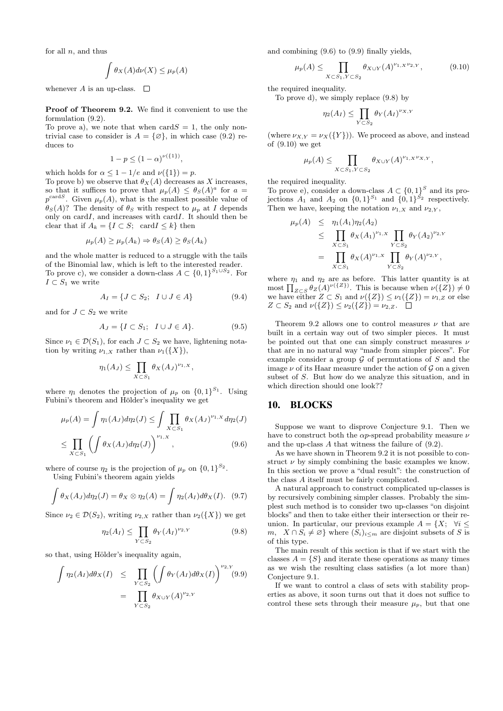for all  $n$ , and thus

$$
\int \theta_X(A)d\nu(X) \le \mu_p(A)
$$

whenever A is an up-class.  $\Box$ 

Proof of Theorem 9.2. We find it convenient to use the formulation (9.2).

To prove a), we note that when  $\text{card}S = 1$ , the only nontrivial case to consider is  $A = \{ \emptyset \}$ , in which case (9.2) reduces to

$$
1 - p \le (1 - \alpha)^{\nu({1})},
$$

which holds for  $\alpha \leq 1 - 1/e$  and  $\nu({1}) = p$ .

To prove b) we observe that  $\theta_X(A)$  decreases as X increases, so that it suffices to prove that  $\mu_p(A) \leq \theta_s(A)^a$  for  $a =$  $p^{\text{card }S}$ . Given  $\mu_p(A)$ , what is the smallest possible value of  $\theta_S(A)$ ? The density of  $\theta_S$  with respect to  $\mu_p$  at I depends only on  $card I$ , and increases with  $card I$ . It should then be clear that if  $A_k = \{I \subset S; \text{ card } I \leq k\}$  then

$$
\mu_p(A) \ge \mu_p(A_k) \Rightarrow \theta_S(A) \ge \theta_S(A_k)
$$

and the whole matter is reduced to a struggle with the tails of the Binomial law, which is left to the interested reader. To prove c), we consider a down-class  $A \subset \{0,1\}^{S_1 \cup S_2}$ . For  $I \subset S_1$  we write

$$
A_I = \{ J \subset S_2; \quad I \cup J \in A \}
$$
\n
$$
(9.4)
$$

and for  $J \subset S_2$  we write

$$
A_J = \{I \subset S_1; \quad I \cup J \in A\}.\tag{9.5}
$$

Since  $\nu_1 \in \mathcal{D}(S_1)$ , for each  $J \subset S_2$  we have, lightening notation by writing  $\nu_{1,X}$  rather than  $\nu_1({X})$ ,

$$
\eta_1(A_J) \leq \prod_{X \subset S_1} \theta_X(A_J)^{\nu_{1,X}},
$$

where  $\eta_1$  denotes the projection of  $\mu_p$  on  $\{0,1\}^{S_1}$ . Using Fubini's theorem and Hölder's inequality we get

$$
\mu_p(A) = \int \eta_1(A_J) d\eta_2(J) \le \int \prod_{X \subset S_1} \theta_X(A_J)^{\nu_{1,X}} d\eta_2(J)
$$
  

$$
\le \prod_{X \subset S_1} \left( \int \theta_X(A_J) d\eta_2(J) \right)^{\nu_{1,X}}, \tag{9.6}
$$

where of course  $\eta_2$  is the projection of  $\mu_p$  on  $\{0,1\}^{S_2}$ .

Using Fubini's theorem again yields

$$
\int \theta_X(A_J) d\eta_2(J) = \theta_X \otimes \eta_2(A) = \int \eta_2(A_I) d\theta_X(I). \quad (9.7)
$$

Since  $\nu_2 \in \mathcal{D}(S_2)$ , writing  $\nu_{2,X}$  rather than  $\nu_2({X})$  we get

$$
\eta_2(A_I) \le \prod_{Y \subset S_2} \theta_Y(A_I)^{\nu_{2,Y}} \tag{9.8}
$$

so that, using Hölder's inequality again,

$$
\int \eta_2(A_I) d\theta_X(I) \leq \prod_{Y \subset S_2} \left( \int \theta_Y(A_I) d\theta_X(I) \right)^{\nu_{2,Y}} (9.9)
$$

$$
= \prod_{Y \subset S_2} \theta_{X \cup Y}(A)^{\nu_{2,Y}}
$$

and combining (9.6) to (9.9) finally yields,

$$
\mu_p(A) \le \prod_{X \subset S_1, Y \subset S_2} \theta_{X \cup Y}(A)^{\nu_{1,X} \nu_{2,Y}}, \tag{9.10}
$$

the required inequality.

To prove d), we simply replace (9.8) by

$$
\eta_2(A_I) \le \prod_{Y \subset S_2} \theta_Y(A_I)^{\nu_{X,Y}}
$$

(where  $\nu_{X,Y} = \nu_X({Y})$ ). We proceed as above, and instead of (9.10) we get

$$
\mu_p(A) \le \prod_{X \subset S_1, Y \subset S_2} \theta_{X \cup Y}(A)^{\nu_{1,X} \nu_{X,Y}},
$$

the required inequality.

To prove e), consider a down-class  $A \subset \{0,1\}^S$  and its projections  $A_1$  and  $A_2$  on  $\{0,1\}^{S_1}$  and  $\{0,1\}^{S_2}$  respectively. Then we have, keeping the notation  $\nu_{1,X}$  and  $\nu_{2,Y}$ ,

$$
\mu_p(A) \leq \eta_1(A_1)\eta_2(A_2) \leq \prod_{X \subset S_1} \theta_X(A_1)^{\nu_{1,X}} \prod_{Y \subset S_2} \theta_Y(A_2)^{\nu_{2,Y}} \n= \prod_{X \subset S_1} \theta_X(A)^{\nu_{1,X}} \prod_{Y \subset S_2} \theta_Y(A)^{\nu_{2,Y}},
$$

where  $\eta_1$  and  $\eta_2$  are as before. This latter quantity is at most  $\prod_{Z\subset S}\theta_Z(A)^{\nu({Z})}$ . This is because when  $\nu({Z})\neq 0$ we have either  $Z \subset S_1$  and  $\nu({Z}) \leq \nu_1({Z}) = \nu_{1,Z}$  or else  $Z \subset S_2$  and  $\nu({Z}) \leq \nu_2({Z}) = \nu_{2,Z}$ .  $\Box$ 

Theorem 9.2 allows one to control measures  $\nu$  that are built in a certain way out of two simpler pieces. It must be pointed out that one can simply construct measures  $\nu$ that are in no natural way "made from simpler pieces". For example consider a group  $G$  of permutations of  $S$  and the image  $\nu$  of its Haar measure under the action of  ${\mathcal G}$  on a given subset of S. But how do we analyze this situation, and in which direction should one look??

## 10. BLOCKS

Suppose we want to disprove Conjecture 9.1. Then we have to construct both the  $\alpha p$ -spread probability measure  $\nu$ and the up-class A that witness the failure of (9.2).

As we have shown in Theorem 9.2 it is not possible to construct  $\nu$  by simply combining the basic examples we know. In this section we prove a "dual result": the construction of the class A itself must be fairly complicated.

A natural approach to construct complicated up-classes is by recursively combining simpler classes. Probably the simplest such method is to consider two up-classes "on disjoint blocks" and then to take either their intersection or their reunion. In particular, our previous example  $A = \{X: \forall i \leq$ m,  $X \cap S_i \neq \emptyset$  where  $(S_i)_{i \leq m}$  are disjoint subsets of S is of this type.

The main result of this section is that if we start with the classes  $A = \{S\}$  and iterate these operations as many times as we wish the resulting class satisfies (a lot more than) Conjecture 9.1.

If we want to control a class of sets with stability properties as above, it soon turns out that it does not suffice to control these sets through their measure  $\mu_p$ , but that one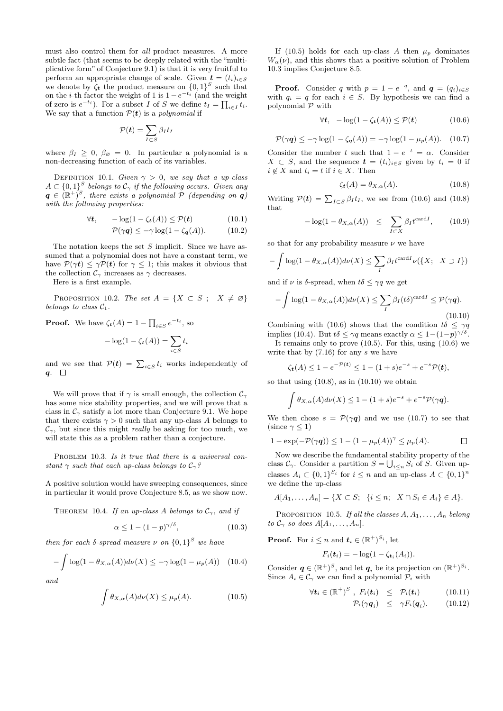must also control them for all product measures. A more subtle fact (that seems to be deeply related with the "multiplicative form" of Conjecture 9.1) is that it is very fruitful to perform an appropriate change of scale. Given  $\mathbf{t} = (t_i)_{i \in S}$ we denote by  $\zeta_t$  the product measure on  $\{0,1\}^S$  such that on the *i*-th factor the weight of 1 is  $1 - e^{-t_i}$  (and the weight of zero is  $e^{-t_i}$ ). For a subset I of S we define  $t_I = \prod_{i \in I} t_i$ . We say that a function  $P(t)$  is a *polynomial* if

$$
\mathcal{P}(\boldsymbol{t}) = \sum_{I \subset S} \beta_I t_I
$$

where  $\beta_I \geq 0$ ,  $\beta_{\emptyset} = 0$ . In particular a polynomial is a non-decreasing function of each of its variables.

DEFINITION 10.1. Given  $\gamma > 0$ , we say that a up-class  $A \subset \{0,1\}^S$  belongs to  $\mathcal{C}_{\gamma}$  if the following occurs. Given any  $q \in (\mathbb{R}^+)^S$ , there exists a polynomial  $\tilde{\mathcal{P}}$  (depending on  $q$ ) with the following properties:

$$
\forall t, \qquad -\log(1 - \zeta_t(A)) \le \mathcal{P}(t) \tag{10.1}
$$

$$
\mathcal{P}(\gamma q) \le -\gamma \log(1 - \zeta_q(A)). \tag{10.2}
$$

The notation keeps the set S implicit. Since we have assumed that a polynomial does not have a constant term, we have  $P(\gamma t) \leq \gamma P(t)$  for  $\gamma \leq 1$ ; this makes it obvious that the collection  $\mathcal{C}_{\gamma}$  increases as  $\gamma$  decreases.

Here is a first example.

PROPOSITION 10.2. The set  $A = \{X \subset S : X \neq \emptyset\}$ belongs to class  $C_1$ .

**Proof.** We have 
$$
\zeta_t(A) = 1 - \prod_{i \in S} e^{-t_i}
$$
, so  

$$
-\log(1 - \zeta_t(A)) = \sum_{i \in S} t_i
$$

and we see that  $P(t) = \sum_{i \in S} t_i$  works independently of  $q. \square$ 

We will prove that if  $\gamma$  is small enough, the collection  $\mathcal{C}_{\gamma}$ has some nice stability properties, and we will prove that a class in  $\mathcal{C}_{\gamma}$  satisfy a lot more than Conjecture 9.1. We hope that there exists  $\gamma > 0$  such that any up-class A belongs to  $\mathcal{C}_{\gamma}$ , but since this might *really* be asking for too much, we will state this as a problem rather than a conjecture.

PROBLEM 10.3. Is it true that there is a universal constant  $\gamma$  such that each up-class belongs to  $\mathcal{C}_{\gamma}$ ?

A positive solution would have sweeping consequences, since in particular it would prove Conjecture 8.5, as we show now.

THEOREM 10.4. If an up-class A belongs to  $\mathcal{C}_{\gamma}$ , and if

$$
\alpha \le 1 - (1 - p)^{\gamma/\delta},\tag{10.3}
$$

then for each  $\delta$ -spread measure  $\nu$  on  $\{0,1\}^S$  we have

$$
-\int \log(1-\theta_{X,\alpha}(A))d\nu(X) \le -\gamma \log(1-\mu_p(A)) \quad (10.4)
$$

and

$$
\int \theta_{X,\alpha}(A)d\nu(X) \le \mu_p(A). \tag{10.5}
$$

If (10.5) holds for each up-class A then  $\mu_p$  dominates  $W_{\alpha}(\nu)$ , and this shows that a positive solution of Problem 10.3 implies Conjecture 8.5.

**Proof.** Consider q with  $p = 1 - e^{-q}$ , and  $q = (q_i)_{i \in S}$ with  $q_i = q$  for each  $i \in S$ . By hypothesis we can find a polynomial  $P$  with

$$
\forall t, \quad -\log(1 - \zeta_t(A)) \le \mathcal{P}(t) \tag{10.6}
$$

$$
\mathcal{P}(\gamma q) \le -\gamma \log(1 - \zeta_q(A)) = -\gamma \log(1 - \mu_p(A)). \quad (10.7)
$$

Consider the number t such that  $1 - e^{-t} = \alpha$ . Consider  $X \subset S$ , and the sequence  $\mathbf{t} = (t_i)_{i \in S}$  given by  $t_i = 0$  if  $i \notin X$  and  $t_i = t$  if  $i \in X$ . Then

$$
\zeta_t(A) = \theta_{X,\alpha}(A). \tag{10.8}
$$

Writing  $\mathcal{P}(t) = \sum_{I \subset S} \beta_I t_I$ , we see from (10.6) and (10.8) that

$$
-\log(1 - \theta_{X,\alpha}(A)) \leq \sum_{I \subset X} \beta_I t^{\text{card}I}, \qquad (10.9)
$$

so that for any probability measure  $\nu$  we have

$$
-\int \log(1-\theta_{X,\alpha}(A))d\nu(X) \leq \sum_{I} \beta_I t^{\text{card}I} \nu(\lbrace X; X \supset I \rbrace)
$$

and if  $\nu$  is δ-spread, when  $t\delta \leq \gamma q$  we get

$$
-\int \log(1-\theta_{X,\alpha}(A))d\nu(X) \leq \sum_{I} \beta_{I}(t\delta)^{\text{card}I} \leq \mathcal{P}(\gamma q).
$$
\n(10.10)

Combining with (10.6) shows that the condition  $t\delta \leq \gamma \gamma$ implies (10.4). But  $t\delta \leq \gamma q$  means exactly  $\alpha \leq 1-(1-p)^{\gamma/\delta}$ .

It remains only to prove  $(10.5)$ . For this, using  $(10.6)$  we write that by  $(7.16)$  for any s we have

$$
\zeta_{t}(A) \leq 1 - e^{-\mathcal{P}(t)} \leq 1 - (1+s)e^{-s} + e^{-s}\mathcal{P}(t),
$$

so that using  $(10.8)$ , as in  $(10.10)$  we obtain

$$
\int \theta_{X,\alpha}(A)d\nu(X) \leq 1 - (1+s)e^{-s} + e^{-s}\mathcal{P}(\gamma q).
$$

We then chose  $s = \mathcal{P}(\gamma q)$  and we use (10.7) to see that (since  $\gamma$  < 1)

$$
1 - \exp(-\mathcal{P}(\gamma q)) \le 1 - (1 - \mu_p(A))^{\gamma} \le \mu_p(A).
$$

Now we describe the fundamental stability property of the class  $\mathcal{C}_{\gamma}$ . Consider a partition  $S = \bigcup_{i \leq n} S_i$  of S. Given upclasses  $A_i \subset \{0,1\}^{S_i}$  for  $i \leq n$  and an up-class  $A \subset \{0,1\}^n$ we define the up-class

$$
A[A_1, ..., A_n] = \{ X \subset S; \ \{i \leq n; \ X \cap S_i \in A_i \} \in A \}.
$$

PROPOSITION 10.5. If all the classes  $A, A_1, \ldots, A_n$  belong to  $\mathcal{C}_{\gamma}$  so does  $A[A_1, \ldots, A_n].$ 

**Proof.** For  $i \leq n$  and  $t_i \in (\mathbb{R}^+)^{S_i}$ , let

$$
F_i(\boldsymbol{t}_i) = -\log(1 - \zeta_{\boldsymbol{t}_i}(A_i)).
$$

Consider  $q \in (\mathbb{R}^+)^S$ , and let  $q_i$  be its projection on  $(\mathbb{R}^+)^{S_i}$ . Since  $A_i \in \mathcal{C}_{\gamma}$  we can find a polynomial  $\mathcal{P}_i$  with

$$
\forall \mathbf{t}_i \in (\mathbb{R}^+)^S , F_i(\mathbf{t}_i) \leq \mathcal{P}_i(\mathbf{t}_i) \qquad (10.11)
$$
  

$$
\mathcal{P}_i(\gamma \mathbf{q}_i) \leq \gamma F_i(\mathbf{q}_i). \qquad (10.12)
$$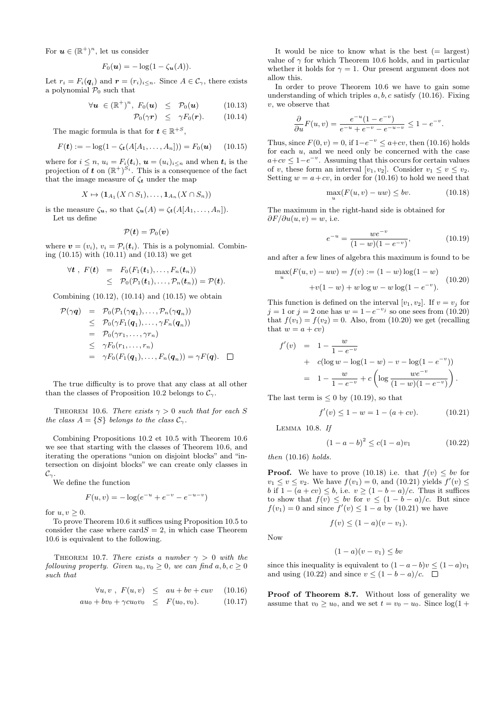For  $u \in (\mathbb{R}^+)^n$ , let us consider

$$
F_0(\boldsymbol{u}) = -\log(1 - \zeta_{\boldsymbol{u}}(A)).
$$

Let  $r_i = F_i(q_i)$  and  $\boldsymbol{r} = (r_i)_{i \leq n}$ . Since  $A \in \mathcal{C}_{\gamma}$ , there exists a polynomial  $\mathcal{P}_0$  such that

$$
\forall \mathbf{u} \in (\mathbb{R}^+)^n, F_0(\mathbf{u}) \leq \mathcal{P}_0(\mathbf{u}) \qquad (10.13)
$$
  

$$
\mathcal{P}_0(\gamma \mathbf{r}) \leq \gamma F_0(\mathbf{r}). \qquad (10.14)
$$

The magic formula is that for  $\mathbf{t} \in \mathbb{R}^{+S}$ ,

$$
F(\mathbf{t}) := -\log(1 - \zeta_{\mathbf{t}}(A[A_1, \dots, A_n])) = F_0(\mathbf{u}) \qquad (10.15)
$$

where for  $i \leq n$ ,  $u_i = F_i(\mathbf{t}_i)$ ,  $\mathbf{u} = (u_i)_{i \leq n}$  and when  $\mathbf{t}_i$  is the projection of **t** on  $(\mathbb{R}^+)^{S_i}$ . This is a consequence of the fact that the image measure of  $\zeta_t$  under the map

$$
X \mapsto (\mathbf{1}_{A_1}(X \cap S_1), \dots, \mathbf{1}_{A_n}(X \cap S_n))
$$

is the measure  $\zeta_{\boldsymbol{u}}$ , so that  $\zeta_{\boldsymbol{u}}(A) = \zeta_{\boldsymbol{t}}(A[A_1, \ldots, A_n]).$ Let us define

$$
\mathcal{P}(\boldsymbol{t})=\mathcal{P}_0(\boldsymbol{v})
$$

where  $\mathbf{v} = (v_i)$ ,  $v_i = \mathcal{P}_i(\mathbf{t}_i)$ . This is a polynomial. Combining (10.15) with (10.11) and (10.13) we get

$$
\begin{array}{lcl} \forall \boldsymbol{t} \ , \ F(\boldsymbol{t}) & = & F_0(F_1(\boldsymbol{t}_1), \ldots, F_n(\boldsymbol{t}_n)) \\ & \leq & \mathcal{P}_0(\mathcal{P}_1(\boldsymbol{t}_1), \ldots, \mathcal{P}_n(\boldsymbol{t}_n)) = \mathcal{P}(\boldsymbol{t}). \end{array}
$$

Combining (10.12), (10.14) and (10.15) we obtain

$$
\mathcal{P}(\gamma q) = \mathcal{P}_0(\mathcal{P}_1(\gamma q_1), \dots, \mathcal{P}_n(\gamma q_n))
$$
  
\n
$$
\leq \mathcal{P}_0(\gamma F_1(q_1), \dots, \gamma F_n(q_n))
$$
  
\n
$$
= \mathcal{P}_0(\gamma r_1, \dots, \gamma r_n)
$$
  
\n
$$
\leq \gamma F_0(r_1, \dots, r_n)
$$
  
\n
$$
= \gamma F_0(F_1(q_1), \dots, F_n(q_n)) = \gamma F(q). \quad \Box
$$

The true difficulty is to prove that any class at all other than the classes of Proposition 10.2 belongs to  $\mathcal{C}_{\gamma}$ .

THEOREM 10.6. There exists  $\gamma > 0$  such that for each S the class  $A = \{S\}$  belongs to the class  $C_{\gamma}$ .

Combining Propositions 10.2 et 10.5 with Theorem 10.6 we see that starting with the classes of Theorem 10.6, and iterating the operations "union on disjoint blocks" and "intersection on disjoint blocks" we can create only classes in  $\mathcal{C}_{\gamma}$ .

We define the function

$$
F(u, v) = -\log(e^{-u} + e^{-v} - e^{-u-v})
$$

for  $u, v \geq 0$ .

To prove Theorem 10.6 it suffices using Proposition 10.5 to consider the case where  $\text{card}S = 2$ , in which case Theorem 10.6 is equivalent to the following.

THEOREM 10.7. There exists a number  $\gamma > 0$  with the following property. Given  $u_0, v_0 \geq 0$ , we can find  $a, b, c \geq 0$ such that

$$
\forall u, v \ , \ F(u, v) \leq au + bv + cuv \quad (10.16)
$$
  

$$
au_0 + bv_0 + \gamma cu_0v_0 \leq F(u_0, v_0). \quad (10.17)
$$

It would be nice to know what is the best  $(= \text{largest})$ value of  $\gamma$  for which Theorem 10.6 holds, and in particular whether it holds for  $\gamma = 1$ . Our present argument does not allow this.

In order to prove Theorem 10.6 we have to gain some understanding of which triples  $a, b, c$  satisfy (10.16). Fixing v, we observe that

$$
\frac{\partial}{\partial u}F(u,v) = \frac{e^{-u}(1 - e^{-v})}{e^{-u} + e^{-v} - e^{-u-v}} \le 1 - e^{-v}.
$$

Thus, since  $F(0, v) = 0$ , if  $1-e^{-v} \le a+cv$ , then (10.16) holds for each u, and we need only be concerned with the case  $a+cv \leq 1-e^{-v}$ . Assuming that this occurs for certain values of v, these form an interval  $[v_1, v_2]$ . Consider  $v_1 \le v \le v_2$ . Setting  $w = a + cv$ , in order for (10.16) to hold we need that

$$
\max_{u} (F(u, v) - uw) \le bv. \tag{10.18}
$$

The maximum in the right-hand side is obtained for  $\partial F/\partial u(u, v) = w$ , i.e.

$$
e^{-u} = \frac{we^{-v}}{(1 - w)(1 - e^{-v})},
$$
\n(10.19)

and after a few lines of algebra this maximum is found to be

$$
\max_{u} (F(u, v) - uw) = f(v) := (1 - w) \log(1 - w)
$$
  
+ v(1 - w) + w \log w - w \log(1 - e^{-v}). (10.20)

This function is defined on the interval  $[v_1, v_2]$ . If  $v = v_i$  for  $j = 1$  or  $j = 2$  one has  $w = 1 - e^{-v_j}$  so one sees from (10.20) that  $f(v_1) = f(v_2) = 0$ . Also, from (10.20) we get (recalling that  $w = a + cv$ 

$$
f'(v) = 1 - \frac{w}{1 - e^{-v}}
$$
  
+  $c(\log w - \log(1 - w) - v - \log(1 - e^{-v}))$   
=  $1 - \frac{w}{1 - e^{-v}} + c\left(\log \frac{we^{-v}}{(1 - w)(1 - e^{-v})}\right).$ 

The last term is  $\leq 0$  by (10.19), so that

$$
f'(v) \le 1 - w = 1 - (a + cv). \tag{10.21}
$$

LEMMA  $10.8.$  If

$$
(1 - a - b)^2 \le c(1 - a)v_1 \tag{10.22}
$$

then (10.16) holds.

**Proof.** We have to prove (10.18) i.e. that  $f(v) \leq bv$  for  $v_1 \le v \le v_2$ . We have  $f(v_1) = 0$ , and (10.21) yields  $f'(v) \le v_1$ b if  $1 - (a + cv) \leq b$ , i.e.  $v \geq (1 - b - a)/c$ . Thus it suffices to show that  $f(v) \leq bv$  for  $v \leq (1 - b - a)/c$ . But since  $f(v_1) = 0$  and since  $f'(v) \le 1 - a$  by (10.21) we have

Now

$$
(1-a)(v-v_1) \le bv
$$

 $f(v) \leq (1-a)(v-v_1).$ 

since this inequality is equivalent to  $(1 - a - b)v \le (1 - a)v_1$ and using (10.22) and since  $v \le (1 - b - a)/c$ .  $\Box$ 

Proof of Theorem 8.7. Without loss of generality we assume that  $v_0 \geq u_0$ , and we set  $t = v_0 - u_0$ . Since  $\log(1 +$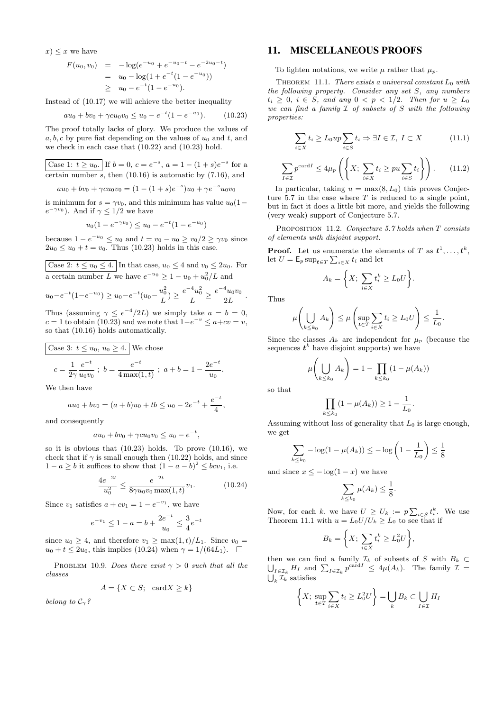$x) \leq x$  we have

$$
F(u_0, v_0) = -\log(e^{-u_0} + e^{-u_0 - t} - e^{-2u_0 - t})
$$
  
=  $u_0 - \log(1 + e^{-t}(1 - e^{-u_0}))$   
 $\geq u_0 - e^{-t}(1 - e^{-u_0}).$ 

Instead of (10.17) we will achieve the better inequality

$$
au_0 + bv_0 + \gamma cu_0v_0 \le u_0 - e^{-t}(1 - e^{-u_0}). \tag{10.23}
$$

The proof totally lacks of glory. We produce the values of a, b, c by pure fiat depending on the values of  $u_0$  and t, and we check in each case that (10.22) and (10.23) hold.

Case 1:  $t \ge u_0$ . If  $b = 0$ ,  $c = e^{-s}$ ,  $a = 1 - (1 + s)e^{-s}$  for a certain number  $\overline{s}$ , then (10.16) is automatic by (7.16), and

 $au_0 + bv_0 + \gamma cu_0v_0 = (1 - (1 + s)e^{-s})u_0 + \gamma e^{-s}u_0v_0$ 

is minimum for  $s = \gamma v_0$ , and this minimum has value  $u_0(1-\gamma v_0)$  $e^{-\gamma v_0}$ ). And if  $\gamma \leq 1/2$  we have

$$
u_0(1 - e^{-\gamma v_0}) \le u_0 - e^{-t}(1 - e^{-u_0})
$$

because  $1 - e^{-u_0} \le u_0$  and  $t = v_0 - u_0 \ge v_0/2 \ge \gamma v_0$  since  $2u_0 \le u_0 + t = v_0$ . Thus (10.23) holds in this case.

Case 2:  $t \le u_0 \le 4$ . In that case,  $u_0 \le 4$  and  $v_0 \le 2u_0$ . For a certain number L we have  $e^{-u_0} \geq 1 - u_0 + u_0^2/L$  and

$$
u_0 - e^{-t}(1 - e^{-u_0}) \ge u_0 - e^{-t}(u_0 - \frac{u_0^2}{L}) \ge \frac{e^{-4}u_0^2}{L} \ge \frac{e^{-4}u_0v_0}{2L}
$$
.

Thus (assuming  $\gamma \leq e^{-4}/2L$ ) we simply take  $a = b = 0$ ,  $c = 1$  to obtain (10.23) and we note that  $1-e^{-v} \le a+cv = v$ , so that (10.16) holds automatically.

Case 3: 
$$
t \le u_0
$$
,  $u_0 \ge 4$ . We chose  
\n
$$
c = \frac{1}{2\gamma} \frac{e^{-t}}{u_0 v_0}; b = \frac{e^{-t}}{4 \max(1, t)}; a + b = 1 - \frac{2e^{-t}}{u_0}
$$

We then have

$$
au_0 + bv_0 = (a+b)u_0 + tb \le u_0 - 2e^{-t} + \frac{e^{-t}}{4},
$$

and consequently

$$
au_0 + bv_0 + \gamma cu_0v_0 \le u_0 - e^{-t},
$$

so it is obvious that (10.23) holds. To prove (10.16), we check that if  $\gamma$  is small enough then (10.22) holds, and since  $1 - a \geq b$  it suffices to show that  $(1 - a - b)^2 \leq bcv_1$ , i.e.

$$
\frac{4e^{-2t}}{u_0^2} \le \frac{e^{-2t}}{8\gamma u_0 v_0 \max(1, t)} v_1.
$$
 (10.24)

Since  $v_1$  satisfies  $a + cv_1 = 1 - e^{-v_1}$ , we have

$$
e^{-v_1} \le 1 - a = b + \frac{2e^{-t}}{u_0} \le \frac{3}{4}e^{-t}
$$

since  $u_0 \geq 4$ , and therefore  $v_1 \geq \max(1, t)/L_1$ . Since  $v_0 =$  $u_0 + t \leq 2u_0$ , this implies (10.24) when  $\gamma = 1/(64L_1)$ .  $\Box$ 

PROBLEM 10.9. Does there exist  $\gamma > 0$  such that all the classes

$$
A = \{ X \subset S; \text{ card } X \ge k \}
$$

belong to  $\mathcal{C}_{\gamma}$ ?

### 11. MISCELLANEOUS PROOFS

To lighten notations, we write  $\mu$  rather that  $\mu_p$ .

THEOREM 11.1. There exists a universal constant  $L_0$  with the following property. Consider any set S, any numbers  $t_i > 0$ ,  $i \in S$ , and any  $0 < p < 1/2$ . Then for  $u > L_0$ we can find a family  $\mathcal I$  of subsets of S with the following properties:

$$
\sum_{i \in X} t_i \ge L_0 up \sum_{i \in S} t_i \Rightarrow \exists I \in \mathcal{I}, \ I \subset X \tag{11.1}
$$

$$
\sum_{I \in \mathcal{I}} p^{\text{card} I} \le 4\mu_p \left( \left\{ X; \sum_{i \in X} t_i \ge pu \sum_{i \in S} t_i \right\} \right). \tag{11.2}
$$

In particular, taking  $u = \max(8, L_0)$  this proves Conjecture 5.7 in the case where  $T$  is reduced to a single point, but in fact it does a little bit more, and yields the following (very weak) support of Conjecture 5.7.

PROPOSITION 11.2. Conjecture 5.7 holds when T consists of elements with disjoint support.

**Proof.** Let us enumerate the elements of T as  $t^1, \ldots, t^k$ , let  $U = \mathsf{E}_p \sup_{t \in T} \sum_{i \in X} t_i$  and let

$$
A_k = \bigg\{ X; \ \sum_{i \in X} t_i^k \ge L_0 U \bigg\}.
$$

Thus

$$
\mu\left(\bigcup_{k\leq k_0} A_k\right) \leq \mu\left(\sup_{t\in T} \sum_{i\in X} t_i \geq L_0 U\right) \leq \frac{1}{L_0}.
$$

Since the classes  $A_k$  are independent for  $\mu_p$  (because the sequences  $t^k$  have disjoint supports) we have

$$
\mu\left(\bigcup_{k\leq k_0} A_k\right) = 1 - \prod_{k\leq k_0} (1 - \mu(A_k))
$$

so that

.

$$
\prod_{k \le k_0} (1 - \mu(A_k)) \ge 1 - \frac{1}{L_0}.
$$

Assuming without loss of generality that  $L_0$  is large enough, we get

$$
\sum_{k \le k_0} -\log(1 - \mu(A_k)) \le -\log\left(1 - \frac{1}{L_0}\right) \le \frac{1}{8}
$$

and since  $x \le -\log(1-x)$  we have

$$
\sum_{k\leq k_0}\mu(A_k)\leq \frac{1}{8}.
$$

Now, for each k, we have  $U \geq U_k := p \sum_{i \in S} t_i^k$ . We use Theorem 11.1 with  $u = L_0 U/U_k \geq L_0$  to see that if

$$
B_k = \bigg\{ X; \ \sum_{i \in X} t_i^k \ge L_0^2 U \bigg\},\
$$

then we can find a family U  $\mathcal{I}_k$  of subsets of S with  $B_k \subset$  $I_{I \in \mathcal{I}_k} H_I$  and  $\sum_{I \in \mathcal{I}_k} p^{\text{card }I} \leq 4\mu(A_k)$ . The family  $\mathcal{I} =$  $\bigcup_k \mathcal{I}_k$  satisfies

$$
\left\{X; \sup_{t \in T} \sum_{i \in X} t_i \ge L_0^2 U\right\} = \bigcup_k B_k \subset \bigcup_{I \in \mathcal{I}} H_I
$$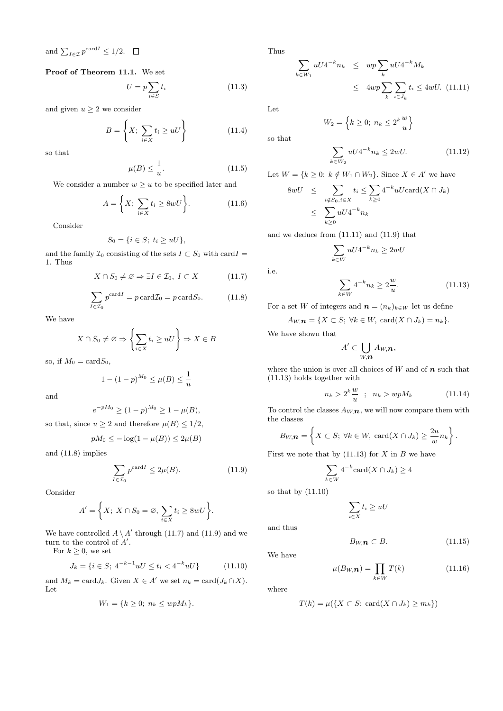and  $\sum_{I \in \mathcal{I}} p^{\text{card}I} \leq 1/2$ .

Proof of Theorem 11.1. We set

$$
U = p \sum_{i \in S} t_i \tag{11.3}
$$

and given  $u \geq 2$  we consider

$$
B = \left\{ X; \sum_{i \in X} t_i \ge uU \right\} \tag{11.4}
$$

so that

$$
\mu(B) \le \frac{1}{u}.\tag{11.5}
$$

We consider a number  $w > u$  to be specified later and

$$
A = \left\{ X; \sum_{i \in X} t_i \ge 8wU \right\}.
$$
 (11.6)

Consider

$$
S_0 = \{i \in S; t_i \ge uU\},\
$$

and the family  $\mathcal{I}_0$  consisting of the sets  $I \subset S_0$  with card $I =$ 1. Thus

$$
X \cap S_0 \neq \emptyset \Rightarrow \exists I \in \mathcal{I}_0, I \subset X \tag{11.7}
$$

$$
\sum_{I \in \mathcal{I}_0} p^{\text{card}I} = p \,\text{card} \mathcal{I}_0 = p \,\text{card} S_0. \tag{11.8}
$$

We have

$$
X \cap S_0 \neq \emptyset \Rightarrow \left\{ \sum_{i \in X} t_i \geq uU \right\} \Rightarrow X \in B
$$

so, if  $M_0 = \text{card} S_0$ ,

$$
1 - (1 - p)^{M_0} \le \mu(B) \le \frac{1}{u}
$$

and

$$
e^{-pM_0} \ge (1-p)^{M_0} \ge 1 - \mu(B),
$$

so that, since  $u \geq 2$  and therefore  $\mu(B) \leq 1/2$ ,

$$
pM_0 \le -\log(1 - \mu(B)) \le 2\mu(B)
$$

and (11.8) implies

$$
\sum_{I \in \mathcal{I}_0} p^{\text{card}I} \le 2\mu(B). \tag{11.9}
$$

Consider

$$
A' = \left\{ X; \ X \cap S_0 = \varnothing, \ \sum_{i \in X} t_i \ge 8wU \right\}.
$$

We have controlled  $A \setminus A'$  through (11.7) and (11.9) and we turn to the control of  $A'$ .

For  $k \geq 0$ , we set

$$
J_k = \{ i \in S; \ 4^{-k-1}uU \le t_i < 4^{-k}uU \} \tag{11.10}
$$

and  $M_k = \text{card} J_k$ . Given  $X \in A'$  we set  $n_k = \text{card} (J_k \cap X)$ . Let

$$
W_1 = \{k \ge 0; \ n_k \le wpM_k\}.
$$

Thus

$$
\sum_{k \in W_1} uU4^{-k} n_k \leq w p \sum_k uU4^{-k} M_k
$$
  

$$
\leq 4w p \sum_k \sum_{i \in J_k} t_i \leq 4wU. \quad (11.11)
$$

Let

so that

$$
W_2 = \left\{ k \ge 0; \ n_k \le 2^k \frac{w}{u} \right\}
$$

$$
\sum_{k \in W_2} uU4^{-k} n_k \le 2wU. \tag{11.12}
$$

Let  $W = \{k \geq 0; k \notin W_1 \cap W_2\}$ . Since  $X \in A'$  we have

$$
8wU \leq \sum_{i \notin S_0, i \in X} t_i \leq \sum_{k \geq 0} 4^{-k} uU \operatorname{card}(X \cap J_k)
$$
  

$$
\leq \sum_{k \geq 0} uU 4^{-k} n_k
$$

and we deduce from (11.11) and (11.9) that

$$
\sum_{k \in W} uU4^{-k}n_k \ge 2wU
$$

i.e.

$$
\sum_{k \in W} 4^{-k} n_k \ge 2 \frac{w}{u}.
$$
\n(11.13)

For a set W of integers and  $\mathbf{n} = (n_k)_{k \in W}$  let us define

 $A_{W,\mathbf{n}} = \{X \subset S; \forall k \in W, \text{ card}(X \cap J_k) = n_k\}.$ 

We have shown that

$$
A' \subset \bigcup_{W,\boldsymbol{n}} A_{W,\boldsymbol{n}},
$$

where the union is over all choices of  $W$  and of  $n$  such that (11.13) holds together with

$$
n_k > 2^k \frac{w}{u} \quad ; \quad n_k > w p M_k \tag{11.14}
$$

To control the classes  $A_{W,\mathbf{n}}$ , we will now compare them with the classes

$$
B_{W,\mathbf{n}} = \left\{ X \subset S; \ \forall k \in W, \ \mathrm{card}(X \cap J_k) \geq \frac{2u}{w} n_k \right\}.
$$

First we note that by  $(11.13)$  for X in B we have

$$
\sum_{k \in W} 4^{-k} \mathrm{card}(X \cap J_k) \ge 4
$$

so that by (11.10)

$$
\sum_{i\in X}t_i\geq uU
$$

and thus

$$
B_{W,\mathbf{n}} \subset B. \tag{11.15}
$$

We have

$$
\mu(B_W, \mathbf{n}) = \prod_{k \in W} T(k) \tag{11.16}
$$

where

$$
T(k) = \mu(\lbrace X \subset S; \text{ card}(X \cap J_k) \ge m_k \rbrace)
$$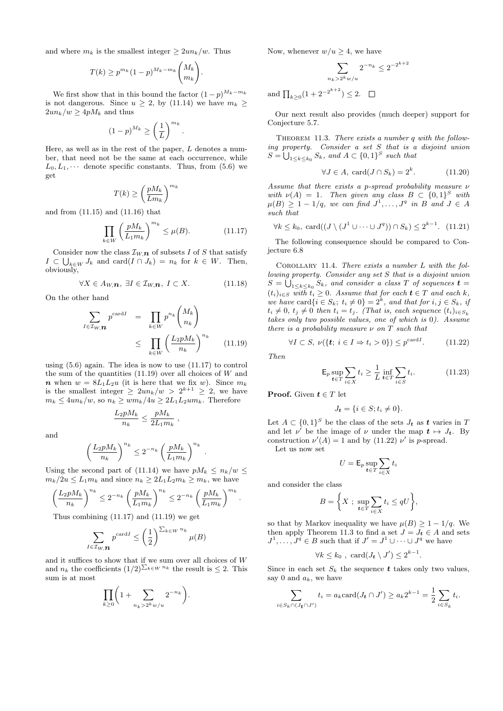and where  $m_k$  is the smallest integer  $\geq 2un_k/w$ . Thus

$$
T(k) \ge p^{m_k} (1-p)^{M_k - m_k} \binom{M_k}{m_k}.
$$

We first show that in this bound the factor  $(1-p)^{M_k-m_k}$ is not dangerous. Since  $u \geq 2$ , by (11.14) we have  $m_k \geq$  $2u n_k/w \geq 4p M_k$  and thus

$$
(1-p)^{M_k} \ge \left(\frac{1}{L}\right)^{m_k}
$$

Here, as well as in the rest of the paper, L denotes a number, that need not be the same at each occurrence, while  $L_0, L_1, \cdots$  denote specific constants. Thus, from (5.6) we get

$$
T(k) \ge \left(\frac{pM_k}{Lm_k}\right)^{m_k}
$$

and from (11.15) and (11.16) that

$$
\prod_{k \in W} \left(\frac{pM_k}{L_1 m_k}\right)^{m_k} \le \mu(B). \tag{11.17}
$$

.

Consider now the class  $\mathcal{I}_{W,\boldsymbol{n}}$  of subsets I of S that satisfy  $I \subset \bigcup_{k \in W} J_k$  and  $\text{card}(I \cap J_k) = n_k$  for  $k \in W$ . Then, obviously,

$$
\forall X \in A_{W,\boldsymbol{n}}, \ \exists I \in \mathcal{I}_{W,\boldsymbol{n}}, \ I \subset X. \tag{11.18}
$$

On the other hand

$$
\sum_{I \in \mathcal{I}_{W,\mathbf{n}}} p^{\text{card}I} = \prod_{k \in W} p^{n_k} \binom{M_k}{n_k} \le \prod_{k \in W} \left(\frac{L_2 p M_k}{n_k}\right)^{n_k} \qquad (11.19)
$$

using (5.6) again. The idea is now to use (11.17) to control the sum of the quantities  $(11.19)$  over all choices of W and **n** when  $w = 8L_1L_2u$  (it is here that we fix w). Since  $m_k$ is the smallest integer  $\geq 2u n_k/w > 2^{k+1} \geq 2$ , we have  $m_k \leq 4u n_k/w$ , so  $n_k \geq w m_k/4u \geq 2L_1L_2um_k$ . Therefore

$$
\frac{L_2 p M_k}{n_k} \le \frac{p M_k}{2L_1 m_k} ,
$$

and

$$
\left(\frac{L_2 p M_k}{n_k}\right)^{n_k} \le 2^{-n_k} \left(\frac{p M_k}{L_1 m_k}\right)^{n_k}
$$

.

Using the second part of (11.14) we have  $pM_k \leq n_k/w \leq$  $m_k/2u \le L_1m_k$  and since  $n_k \ge 2L_1L_2m_k \ge m_k$ , we have

$$
\left(\frac{L_2 p M_k}{n_k}\right)^{n_k} \leq 2^{-n_k} \left(\frac{p M_k}{L_1 m_k}\right)^{n_k} \leq 2^{-n_k} \left(\frac{p M_k}{L_1 m_k}\right)^{m_k}.
$$

Thus combining (11.17) and (11.19) we get

$$
\sum_{I \in \mathcal{I}_{W,\mathbf{R}}} p^{\text{card}I} \leq \left(\frac{1}{2}\right)^{\sum_{k \in W} n_k} \mu(B)
$$

and it suffices to show that if we sum over all choices of W and  $n_k$  the coefficients  $(1/2)^{\sum_{k\in W} n_k}$  the result is  $\leq 2$ . This sum is at most

$$
\prod_{k\geq 0} \biggl(1+\sum_{n_k>2^k w/u} 2^{-n_k}\biggr).
$$

Now, whenever  $w/u \geq 4$ , we have

$$
\sum_{n_k > 2^k w/u} 2^{-n_k} \le 2^{-2^{k+2}}
$$
  
and 
$$
\prod_{k \ge 0} (1 + 2^{-2^{k+2}}) \le 2. \quad \Box
$$

Our next result also provides (much deeper) support for Conjecture 5.7.

THEOREM 11.3. There exists a number q with the following property. Consider a set S that is a disjoint union  $S = \bigcup_{1 \leq k \leq k_0} S_k$ , and  $A \subset \{0,1\}^S$  such that

$$
\forall J \in A, \ \text{card}(J \cap S_k) = 2^k. \tag{11.20}
$$

Assume that there exists a p-spread probability measure  $\nu$ with  $\nu(A) = 1$ . Then given any class  $B \subset \{0,1\}^S$  with  $\mu(B) \geq 1 - 1/q$ , we can find  $J^1, \ldots, J^q$  in B and  $J \in A$ such that

$$
\forall k \leq k_0, \ \text{card}((J \setminus (J^1 \cup \dots \cup J^q)) \cap S_k) \leq 2^{k-1}. \tag{11.21}
$$

The following consequence should be compared to Conjecture 6.8

COROLLARY 11.4. There exists a number  $L$  with the following property. Consider any set S that is a disjoint union  $S = \bigcup_{1 \leq k \leq k_0} S_k$ , and consider a class T of sequences  $\boldsymbol{t} =$  $(t_i)_{i\in S}$  with  $t_i \geq 0$ . Assume that for each  $t \in T$  and each k, we have card  $\{i \in S_k; t_i \neq 0\} = 2^k$ , and that for  $i, j \in S_k$ , if  $t_i \neq 0$ ,  $t_j \neq 0$  then  $t_i = t_j$ . (That is, each sequence  $(t_i)_{i \in S_k}$ takes only two possible values, one of which is 0). Assume there is a probability measure  $\nu$  on T such that

$$
\forall I \subset S, \ \nu(\{\mathbf{t}; \ i \in I \Rightarrow t_i > 0\}) \le p^{\text{card}I}.\tag{11.22}
$$

Then

$$
\mathsf{E}_p \sup_{\mathbf{t} \in T} \sum_{i \in X} t_i \ge \frac{1}{L} \inf_{\mathbf{t} \in T} \sum_{i \in S} t_i.
$$
 (11.23)

**Proof.** Given  $t \in T$  let

$$
J_{t} = \{i \in S; t_{i} \neq 0\}.
$$

Let  $A \subset \{0,1\}^S$  be the class of the sets  $J_t$  as t varies in T and let  $\nu'$  be the image of  $\nu$  under the map  $t \mapsto J_t$ . By construction  $\nu'(A) = 1$  and by (11.22)  $\nu'$  is p-spread.

Let us now set

$$
U = \mathsf{E}_p \sup_{\mathbf{t} \in T} \sum_{i \in X} t_i
$$

and consider the class

 $i \in$ 

$$
B = \bigg\{ X \; ; \; \sup_{t \in T} \sum_{i \in X} t_i \le qU \bigg\},
$$

so that by Markov inequality we have  $\mu(B) \geq 1 - 1/q$ . We then apply Theorem 11.3 to find a set  $J = J_t \in A$  and sets  $J^1, \ldots, J^q \in B$  such that if  $J' = J^1 \cup \cdots \cup J^q$  we have

$$
\forall k \leq k_0 \, , \, \, \text{card}(J_{\boldsymbol{t}} \setminus J') \leq 2^{k-1}.
$$

Since in each set  $S_k$  the sequence t takes only two values, say 0 and  $a_k$ , we have

$$
\sum_{S_k \cap (J_{\mathbf{t}} \cap J')} t_i = a_k \text{card}(J_{\mathbf{t}} \cap J') \ge a_k 2^{k-1} = \frac{1}{2} \sum_{i \in S_k} t_i.
$$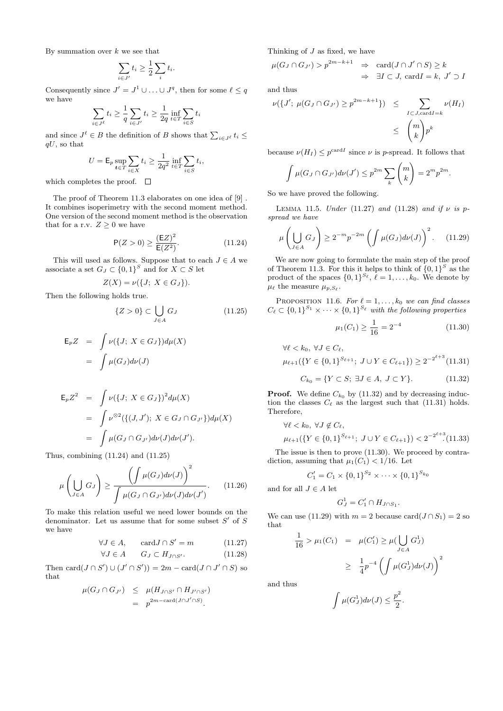By summation over  $k$  we see that

$$
\sum_{i \in J'} t_i \ge \frac{1}{2} \sum_i t_i.
$$

Consequently since  $J' = J^1 \cup ... \cup J^q$ , then for some  $\ell \leq q$ we have

$$
\sum_{i \in J^{\ell}} t_i \ge \frac{1}{q} \sum_{i \in J'} t_i \ge \frac{1}{2q} \inf_{t \in T} \sum_{i \in S} t_i
$$

and since  $J^{\ell} \in B$  the definition of B shows that  $\sum_{i \in J^{\ell}} t_i \leq$  $qU$ , so that

$$
U = \mathsf{E}_p \sup_{\mathbf{t} \in T} \sum_{i \in X} t_i \ge \frac{1}{2q^2} \inf_{t \in T} \sum_{i \in S} t_i,
$$

which completes the proof.  $\square$ 

The proof of Theorem 11.3 elaborates on one idea of [9] . It combines isoperimetry with the second moment method. One version of the second moment method is the observation that for a r.v.  $Z \geq 0$  we have

$$
P(Z > 0) \ge \frac{(EZ)^2}{E(Z^2)}.
$$
 (11.24)

This will used as follows. Suppose that to each  $J \in A$  we associate a set  $G_J \subset \{0,1\}^S$  and for  $X \subset S$  let

$$
Z(X) = \nu({J; X \in G_J}).
$$

Then the following holds true.

$$
\{Z > 0\} \subset \bigcup_{J \in A} G_J \tag{11.25}
$$

$$
\mathsf{E}_p Z = \int \nu({J; X \in G_J}) d\mu(X)
$$

$$
= \int \mu(G_J) d\nu(J)
$$

$$
\mathsf{E}_{p}Z^{2} = \int \nu({J; X \in G_{J}})^{2} d\mu(X)
$$
  
= 
$$
\int \nu^{\otimes 2}({[(J, J'); X \in G_{J} \cap G_{J'}\})d\mu(X)
$$
  
= 
$$
\int \mu(G_{J} \cap G_{J'})d\nu(J)d\nu(J').
$$

Thus, combining (11.24) and (11.25)

$$
\mu\left(\bigcup_{J\in A} G_J\right) \ge \frac{\left(\int \mu(G_J)d\nu(J)\right)^2}{\int \mu(G_J \cap G_{J'})d\nu(J)d\nu(J')}.
$$
 (11.26)

To make this relation useful we need lower bounds on the denominator. Let us assume that for some subset  $S'$  of  $S$ we have

$$
\forall J \in A, \qquad \text{card} J \cap S' = m \tag{11.27}
$$

$$
\forall J \in A \qquad G_J \subset H_{J \cap S'}.\tag{11.28}
$$

Then  $\text{card}(J \cap S') \cup (J' \cap S') = 2m - \text{card}(J \cap J' \cap S)$  so that

$$
\mu(G_J \cap G_{J'}) \leq \mu(H_{J \cap S'} \cap H_{J' \cap S'})
$$
  
=  $p^{2m-\text{card}(J \cap J' \cap S)}$ .

Thinking of  $J$  as fixed, we have

$$
\mu(G_J \cap G_{J'}) > p^{2m-k+1} \Rightarrow \operatorname{card}(J \cap J' \cap S) \ge k
$$
  

$$
\Rightarrow \exists I \subset J, \operatorname{card} I = k, J' \supset I
$$

and thus

$$
\nu({J'; \mu(G_J \cap G_{J'}) \ge p^{2m-k+1}}) \le \sum_{I \subset J, \text{card} I = k} \nu(H_I)
$$
  

$$
\le \binom{m}{k} p^k
$$

because  $\nu(H_I) \leq p^{\text{card }I}$  since  $\nu$  is p-spread. It follows that

$$
\int \mu(G_J \cap G_{J'})d\nu(J') \leq p^{2m} \sum_k \binom{m}{k} = 2^m p^{2m}.
$$

So we have proved the following.

LEMMA 11.5. Under (11.27) and (11.28) and if  $\nu$  is pspread we have

$$
\mu\left(\bigcup_{J\in A} G_J\right) \ge 2^{-m} p^{-2m} \left(\int \mu(G_J) d\nu(J)\right)^2. \tag{11.29}
$$

We are now going to formulate the main step of the proof of Theorem 11.3. For this it helps to think of  $\{0,1\}^S$  as the product of the spaces  $\{0,1\}^{S_{\ell}}, \ell = 1, \ldots, k_0$ . We denote by  $\mu_{\ell}$  the measure  $\mu_{p,S_{\ell}}$ .

PROPOSITION 11.6. For  $\ell = 1, \ldots, k_0$  we can find classes  $C_{\ell} \subset \{0,1\}^{S_1} \times \cdots \times \{0,1\}^{S_{\ell}}$  with the following properties

$$
\mu_1(C_1) \ge \frac{1}{16} = 2^{-4} \tag{11.30}
$$

$$
\forall \ell < k_0, \forall J \in C_{\ell},
$$
\n
$$
\mu_{\ell+1}(\{Y \in \{0, 1\}^{S_{\ell+1}}; \ J \cup Y \in C_{\ell+1}\}) \ge 2^{-2^{\ell+3}} \text{(11.31)}
$$

$$
C_{k_0} = \{ Y \subset S; \exists J \in A, J \subset Y \}. \tag{11.32}
$$

**Proof.** We define  $C_{k_0}$  by (11.32) and by decreasing induction the classes  $C_{\ell}$  as the largest such that (11.31) holds. Therefore,

$$
\forall \ell < k_0, \forall J \notin C_{\ell},
$$
  

$$
\mu_{\ell+1}(\{Y \in \{0,1\}^{S_{\ell+1}}; J \cup Y \in C_{\ell+1}\}) < 2^{-2^{\ell+3}}. (11.33)
$$

The issue is then to prove (11.30). We proceed by contradiction, assuming that  $\mu_1(C_1)$  < 1/16. Let

$$
C'_1 = C_1 \times \{0,1\}^{S_2} \times \cdots \times \{0,1\}^{S_{k_0}}
$$

and for all  $J \in A$  let

$$
G_J^1 = C'_1 \cap H_{J \cap S_1}.
$$

We can use (11.29) with  $m = 2$  because card $(J \cap S_1) = 2$  so that

$$
\frac{1}{16} > \mu_1(C_1) = \mu(C'_1) \ge \mu(\bigcup_{J \in A} G_J^1)
$$
  

$$
\ge \frac{1}{4} p^{-4} \left( \int \mu(G_J^1) d\nu(J) \right)^2
$$

and thus

$$
\int \mu(G_J^1)d\nu(J) \leq \frac{p^2}{2}.
$$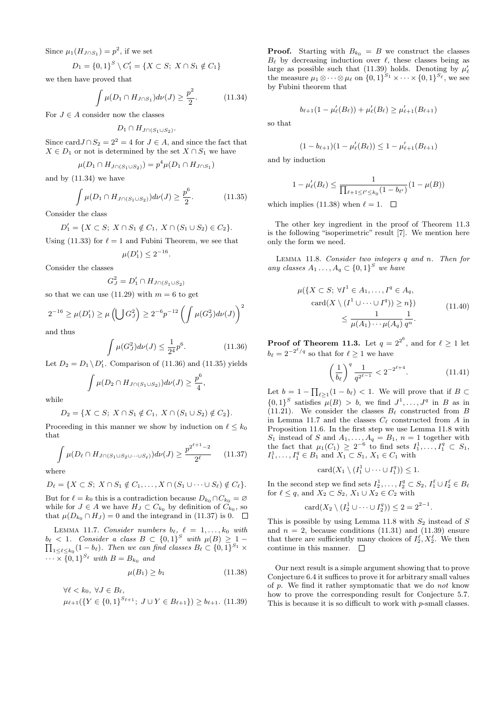Since  $\mu_1(H_{J \cap S_1}) = p^2$ , if we set

$$
D_1 = \{0,1\}^S \setminus C_1' = \{X \subset S; \ X \cap S_1 \notin C_1\}
$$

we then have proved that

$$
\int \mu(D_1 \cap H_{J \cap S_1}) d\nu(J) \ge \frac{p^2}{2}.
$$
 (11.34)

For  $J \in A$  consider now the classes

$$
D_1 \cap H_{J \cap (S_1 \cup S_2)}.
$$

Since card $J \cap S_2 = 2^2 = 4$  for  $J \in A$ , and since the fact that  $X \in D_1$  or not is determined by the set  $X \cap S_1$  we have

$$
\mu(D_1 \cap H_{J \cap (S_1 \cup S_2)}) = p^4 \mu(D_1 \cap H_{J \cap S_1})
$$

and by (11.34) we have

$$
\int \mu(D_1 \cap H_{J \cap (S_1 \cup S_2)}) d\nu(J) \ge \frac{p^6}{2}.
$$
 (11.35)

Consider the class

$$
D'_1 = \{ X \subset S; \ X \cap S_1 \notin C_1, \ X \cap (S_1 \cup S_2) \in C_2 \}.
$$

Using (11.33) for  $\ell = 1$  and Fubini Theorem, we see that

$$
\mu(D_1') \le 2^{-16}.
$$

Consider the classes

$$
G_J^2 = D_1' \cap H_{J \cap (S_1 \cup S_2)}
$$

so that we can use (11.29) with  $m = 6$  to get

$$
2^{-16} \ge \mu(D'_1) \ge \mu\left(\bigcup G_J^2\right) \ge 2^{-6}p^{-12}\left(\int \mu(G_J^2)d\nu(J)\right)^2
$$

and thus

$$
\int \mu(G_J^2) d\nu(J) \le \frac{1}{2^4} p^6. \tag{11.36}
$$

Let  $D_2 = D_1 \setminus D'_1$ . Comparison of (11.36) and (11.35) yields

$$
\int \mu(D_2 \cap H_{J \cap (S_1 \cup S_2)}) d\nu(J) \geq \frac{p^6}{4},
$$

while

$$
D_2 = \{ X \subset S; \ X \cap S_1 \notin C_1, \ X \cap (S_1 \cup S_2) \notin C_2 \}.
$$

Proceeding in this manner we show by induction on  $\ell \leq k_0$ that

$$
\int \mu(D_\ell \cap H_{J \cap (S_1 \cup S_2 \cup \dots \cup S_\ell)}) d\nu(J) \ge \frac{p^{2^{\ell+1}-2}}{2^{\ell}} \qquad (11.37)
$$

where

$$
D_{\ell} = \{ X \subset S; \ X \cap S_1 \notin C_1, \ldots, X \cap (S_1 \cup \cdots \cup S_{\ell}) \notin C_{\ell} \}.
$$

But for  $\ell = k_0$  this is a contradiction because  $D_{k_0} \cap C_{k_0} = \emptyset$ while for  $J \in A$  we have  $H_J \subset C_{k_0}$  by definition of  $C_{k_0}$ , so that  $\mu(D_{k_0} \cap H_J) = 0$  and the integrand in (11.37) is 0.  $\Box$ 

LEMMA 11.7. Consider numbers  $b_{\ell}$ ,  $\ell = 1, ..., k_0$  with  $b_{\ell}$  < 1. Consider a class  $B \subset \{0,1\}^S$  with  $\mu(B) \geq 1$  –  $\prod_{1 \leq \ell \leq k_0} (1 - b_{\ell})$ . Then we can find classes  $B_{\ell} \subset \{0, 1\}^{S_1} \times$  $\cdots \times \{0,1\}^{S_{\ell}}$  with  $B=B_{k_0}$  and

$$
\mu(B_1) \ge b_1 \tag{11.38}
$$

$$
\forall \ell < k_0, \ \forall J \in B_{\ell}, \\
\mu_{\ell+1}(\{Y \in \{0,1\}^{S_{\ell+1}}; \ J \cup Y \in B_{\ell+1}\}) \ge b_{\ell+1}.\tag{11.39}
$$

**Proof.** Starting with  $B_{k_0} = B$  we construct the classes  $B_{\ell}$  by decreasing induction over  $\ell$ , these classes being as large as possible such that (11.39) holds. Denoting by  $\mu'_{\ell}$ the measure  $\mu_1 \otimes \cdots \otimes \mu_\ell$  on  $\{0,1\}^{S_1} \times \cdots \times \{0,1\}^{S_\ell}$ , we see by Fubini theorem that

$$
b_{\ell+1}(1-\mu'_{\ell}(B_{\ell})) + \mu'_{\ell}(B_{\ell}) \geq \mu'_{\ell+1}(B_{\ell+1})
$$

so that

$$
(1 - b_{\ell+1})(1 - \mu'_{\ell}(B_{\ell})) \le 1 - \mu'_{\ell+1}(B_{\ell+1})
$$

and by induction

$$
1 - \mu'_{\ell}(B_{\ell}) \le \frac{1}{\prod_{\ell+1 \le \ell' \le k_0} (1 - b_{\ell'})} (1 - \mu(B))
$$

which implies (11.38) when  $\ell = 1$ .  $\Box$ 

The other key ingredient in the proof of Theorem 11.3 is the following "isoperimetric" result [7]. We mention here only the form we need.

Lemma 11.8. Consider two integers q and n. Then for any classes  $A_1 \ldots, A_q \subset \{0,1\}^S$  we have

$$
\mu({X \subset S; \forall I^1 \in A_1, \dots, I^q \in A_q, \text{card}(X \setminus (I^1 \cup \dots \cup I^q)) \ge n})
$$
\n
$$
\le \frac{1}{\mu(A_1) \cdots \mu(A_q)} \frac{1}{q^n}.
$$
\n(11.40)

**Proof of Theorem 11.3.** Let  $q = 2^{2^6}$ , and for  $\ell \ge 1$  let  $b_{\ell} = 2^{-2^{\ell}/q}$  so that for  $\ell \geq 1$  we have

$$
\left(\frac{1}{b_{\ell}}\right)^{q} \frac{1}{q^{2^{\ell-1}}} < 2^{-2^{\ell+4}}.\tag{11.41}
$$

Let  $b = 1 - \prod_{\ell \geq 1} (1 - b_{\ell}) < 1$ . We will prove that if  $B \subset$  $\{0,1\}^S$  satisfies  $\mu(B) > b$ , we find  $J^1, \ldots, J^q$  in B as in (11.21). We consider the classes  $B_\ell$  constructed from B in Lemma 11.7 and the classes  $C_{\ell}$  constructed from A in Proposition 11.6. In the first step we use Lemma 11.8 with  $S_1$  instead of S and  $A_1, \ldots, A_q = B_1, n = 1$  together with the fact that  $\mu_1(C_1) \geq 2^{-6}$  to find sets  $I_1^1, \ldots, I_1^q \subset S_1$ ,  $I_1^1, \ldots, I_1^q \in B_1$  and  $X_1 \subset S_1, X_1 \in C_1$  with

$$
card(X_1 \setminus (I_1^1 \cup \cdots \cup I_1^q)) \leq 1.
$$

In the second step we find sets  $I_2^1, \ldots, I_2^q \subset S_2, I_1^{\ell} \cup I_2^{\ell} \in B_{\ell}$ for  $\ell \leq q$ , and  $X_2 \subset S_2$ ,  $X_1 \cup X_2 \in C_2$  with

$$
card(X_2 \setminus (I_2^1 \cup \cdots \cup I_2^q)) \leq 2 = 2^{2-1}.
$$

This is possible by using Lemma 11.8 with  $S_2$  instead of S and  $n = 2$ , because conditions (11.31) and (11.39) ensure that there are sufficiently many choices of  $I_2^{\ell}, X_2^{\ell}$ . We then continue in this manner.  $\quad \Box$ 

Our next result is a simple argument showing that to prove Conjecture 6.4 it suffices to prove it for arbitrary small values of p. We find it rather symptomatic that we do not know how to prove the corresponding result for Conjecture 5.7. This is because it is so difficult to work with p-small classes.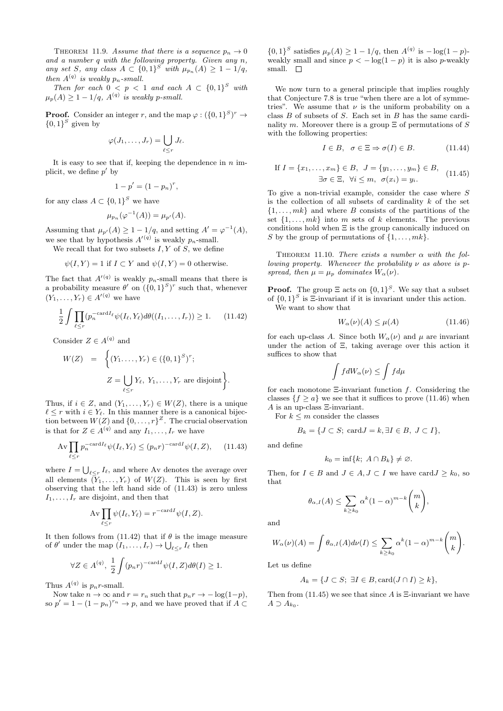THEOREM 11.9. Assume that there is a sequence  $p_n \to 0$ and a number q with the following property. Given any n, any set S, any class  $A \subset \{0,1\}^S$  with  $\mu_{p_n}(A) \geq 1 - 1/q$ , then  $A^{(q)}$  is weakly  $p_n$ -small.

Then for each  $0 \leq p \leq 1$  and each  $A \subset \{0,1\}^S$  with  $\mu_p(A) \geq 1-1/q, A^{(q)}$  is weakly p-small.

**Proof.** Consider an integer r, and the map  $\varphi : (\{0,1\}^S)^r \to$  $\{0,1\}^S$  given by

$$
\varphi(J_1,\ldots,J_r)=\bigcup_{\ell\leq r}J_\ell.
$$

It is easy to see that if, keeping the dependence in  $n$  implicit, we define  $p'$  by

$$
1-p'=(1-p_n)^r,
$$

for any class  $A \subset \{0,1\}^S$  we have

$$
\mu_{p_n}(\varphi^{-1}(A)) = \mu_{p'}(A).
$$

Assuming that  $\mu_{p}(A) \geq 1 - 1/q$ , and setting  $A' = \varphi^{-1}(A)$ , we see that by hypothesis  $A'(q)$  is weakly  $p_n$ -small.

We recall that for two subsets  $I, Y$  of  $S$ , we define

$$
\psi(I, Y) = 1
$$
 if  $I \subset Y$  and  $\psi(I, Y) = 0$  otherwise.

The fact that  $A'(q)$  is weakly  $p_n$ -small means that there is a probability measure  $\theta'$  on  $({0,1}^S)^r$  such that, whenever  $(Y_1,\ldots,Y_r)\in A'^{(q)}$  we have

$$
\frac{1}{2} \int \prod_{\ell \le r} (p_n^{-\text{card} I_\ell} \psi(I_\ell, Y_\ell) d\theta((I_1, \dots, I_r)) \ge 1. \tag{11.42}
$$

Consider  $Z \in A^{(q)}$  and

$$
W(Z) = \left\{ (Y_1, \dots, Y_r) \in (\{0, 1\}^S)^r; \right\}
$$
  

$$
Z = \bigcup_{\ell \le r} Y_\ell, Y_1, \dots, Y_r \text{ are disjoint} \right\}.
$$

Thus, if  $i \in Z$ , and  $(Y_1, \ldots, Y_r) \in W(Z)$ , there is a unique  $\ell \leq r$  with  $i \in Y_{\ell}$ . In this manner there is a canonical bijection between  $W(Z)$  and  $\{0, \ldots, r\}^Z$ . The crucial observation is that for  $Z \in A^{(q)}$  and any  $I_1, \ldots, I_r$  we have

$$
\operatorname{Av} \prod_{\ell \le r} p_n^{-\operatorname{card} I_\ell} \psi(I_\ell, Y_\ell) \le (p_n r)^{-\operatorname{card} I} \psi(I, Z), \quad (11.43)
$$

where  $I = \bigcup_{\ell \leq r} I_{\ell}$ , and where Av denotes the average over all elements  $(Y_1, \ldots, Y_r)$  of  $W(Z)$ . This is seen by first observing that the left hand side of (11.43) is zero unless  $I_1, \ldots, I_r$  are disjoint, and then that

$$
Av \prod_{\ell \leq r} \psi(I_{\ell}, Y_{\ell}) = r^{-\mathrm{card}I} \psi(I, Z).
$$

It then follows from (11.42) that if  $\theta$  is the image measure of  $\theta'$  under the map  $(I_1, \ldots, I_r) \to \bigcup_{\ell \leq r} I_\ell$  then

$$
\forall Z \in A^{(q)}, \ \frac{1}{2} \int (p_n r)^{-\mathrm{card} I} \psi(I, Z) d\theta(I) \ge 1.
$$

Thus  $A^{(q)}$  is  $p_n r$ -small.

Now take  $n \to \infty$  and  $r = r_n$  such that  $p_n r \to -\log(1-p)$ , so  $p' = 1 - (1 - p_n)^{r_n} \to p$ , and we have proved that if  $A \subset$ 

 $\{0,1\}^S$  satisfies  $\mu_p(A) \geq 1 - 1/q$ , then  $A^{(q)}$  is  $-\log(1-p)$ weakly small and since  $p < -\log(1-p)$  it is also p-weakly small.  $\square$ 

We now turn to a general principle that implies roughly that Conjecture 7.8 is true "when there are a lot of symmetries". We assume that  $\nu$  is the uniform probability on a class B of subsets of S. Each set in B has the same cardinality m. Moreover there is a group  $\Xi$  of permutations of S with the following properties:

$$
I \in B, \quad \sigma \in \Xi \Rightarrow \sigma(I) \in B. \tag{11.44}
$$

If 
$$
I = \{x_1, ..., x_m\} \in B
$$
,  $J = \{y_1, ..., y_m\} \in B$ ,  
\n $\exists \sigma \in \Xi, \forall i \le m, \sigma(x_i) = y_i$ . (11.45)

To give a non-trivial example, consider the case where S is the collection of all subsets of cardinality  $k$  of the set  $\{1, \ldots, mk\}$  and where B consists of the partitions of the set  $\{1, \ldots, mk\}$  into m sets of k elements. The previous conditions hold when Ξ is the group canonically induced on S by the group of permutations of  $\{1, \ldots, mk\}$ .

THEOREM 11.10. There exists a number  $\alpha$  with the following property. Whenever the probability  $\nu$  as above is pspread, then  $\mu = \mu_p$  dominates  $W_\alpha(\nu)$ .

**Proof.** The group  $\Xi$  acts on  $\{0,1\}^S$ . We say that a subset of  ${0,1}^S$  is  $\Xi$ -invariant if it is invariant under this action. We want to show that

$$
W_{\alpha}(\nu)(A) \le \mu(A) \tag{11.46}
$$

for each up-class A. Since both  $W_{\alpha}(\nu)$  and  $\mu$  are invariant under the action of Ξ, taking average over this action it suffices to show that

$$
\int fdW_{\alpha}(\nu)\leq \int fd\mu
$$

for each monotone  $\Xi$ -invariant function f. Considering the classes  $\{f \ge a\}$  we see that it suffices to prove (11.46) when A is an up-class Ξ-invariant.

For  $k \leq m$  consider the classes

$$
B_k = \{ J \subset S; \, \text{card} J = k, \exists I \in B, \, J \subset I \},
$$

and define

$$
k_0 = \inf\{k; \ A \cap B_k\} \neq \varnothing.
$$

Then, for  $I \in B$  and  $J \in A, J \subset I$  we have card $J \geq k_0$ , so that

$$
\theta_{\alpha,I}(A) \leq \sum_{k \geq k_0} \alpha^k (1-\alpha)^{m-k} \binom{m}{k},
$$

and

$$
W_{\alpha}(\nu)(A) = \int \theta_{\alpha,I}(A) d\nu(I) \leq \sum_{k \geq k_0} \alpha^k (1-\alpha)^{m-k} {m \choose k}.
$$

Let us define

$$
A_k = \{ J \subset S; \ \exists I \in B, \text{card}(J \cap I) \geq k \},\
$$

Then from  $(11.45)$  we see that since A is  $\Xi$ -invariant we have  $A \supset A_{k_0}.$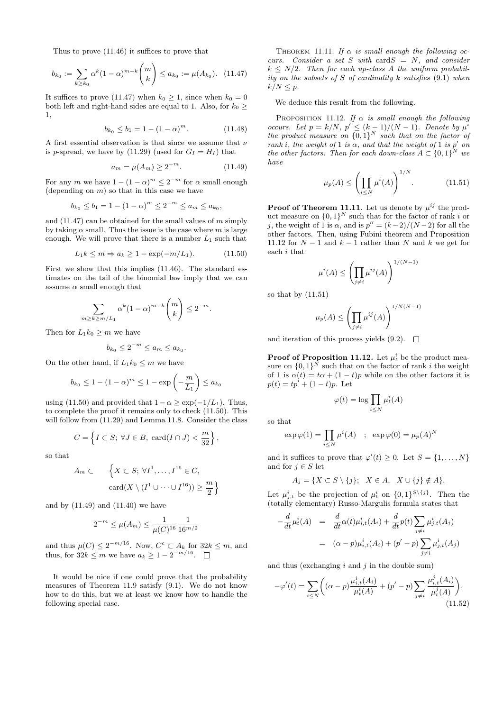Thus to prove (11.46) it suffices to prove that

$$
b_{k_0} := \sum_{k \ge k_0} \alpha^k (1 - \alpha)^{m-k} \binom{m}{k} \le a_{k_0} := \mu(A_{k_0}). \quad (11.47)
$$

It suffices to prove (11.47) when  $k_0 \geq 1$ , since when  $k_0 = 0$ both left and right-hand sides are equal to 1. Also, for  $k_0 \geq$ 1,

$$
b_{k_0} \le b_1 = 1 - (1 - \alpha)^m. \tag{11.48}
$$

A first essential observation is that since we assume that  $\nu$ is p-spread, we have by (11.29) (used for  $G_I = H_I$ ) that

$$
a_m = \mu(A_m) \ge 2^{-m}.
$$
 (11.49)

For any m we have  $1 - (1 - \alpha)^m \leq 2^{-m}$  for  $\alpha$  small enough (depending on  $m$ ) so that in this case we have

$$
b_{k_0} \le b_1 = 1 - (1 - \alpha)^m \le 2^{-m} \le a_m \le a_{k_0},
$$

and  $(11.47)$  can be obtained for the small values of m simply by taking  $\alpha$  small. Thus the issue is the case where m is large enough. We will prove that there is a number  $L_1$  such that

$$
L_1 k \le m \Rightarrow a_k \ge 1 - \exp(-m/L_1). \tag{11.50}
$$

First we show that this implies (11.46). The standard estimates on the tail of the binomial law imply that we can assume  $\alpha$  small enough that

$$
\sum_{m\geq k\geq m/L_1} \alpha^k (1-\alpha)^{m-k} \binom{m}{k} \leq 2^{-m}.
$$

Then for  $L_1k_0 \geq m$  we have

$$
b_{k_0} \le 2^{-m} \le a_m \le a_{k_0}.
$$

On the other hand, if  $L_1k_0 \leq m$  we have

$$
b_{k_0} \le 1 - (1 - \alpha)^m \le 1 - \exp\left(-\frac{m}{L_1}\right) \le a_{k_0}
$$

using (11.50) and provided that  $1-\alpha \geq \exp(-1/L_1)$ . Thus, to complete the proof it remains only to check (11.50). This will follow from (11.29) and Lemma 11.8. Consider the class

$$
C = \left\{ I \subset S; \ \forall J \in B, \ \mathrm{card}(I \cap J) < \frac{m}{32} \right\},\
$$

so that

$$
A_m \subset \left\{ X \subset S; \ \forall I^1, \dots, I^{16} \in C, \\ \operatorname{card}(X \setminus (I^1 \cup \dots \cup I^{16})) \ge \frac{m}{2} \right\}
$$

and by (11.49) and (11.40) we have

$$
2^{-m} \le \mu(A_m) \le \frac{1}{\mu(C)^{16}} \frac{1}{16^{m/2}}
$$

and thus  $\mu(C) \leq 2^{-m/16}$ . Now,  $C^c \subset A_k$  for  $32k \leq m$ , and thus, for  $32k \le m$  we have  $a_k \ge 1 - 2^{-m/16}$ .

It would be nice if one could prove that the probability measures of Theorem 11.9 satisfy (9.1). We do not know how to do this, but we at least we know how to handle the following special case.

THEOREM 11.11. If  $\alpha$  is small enough the following occurs. Consider a set S with card  $S = N$ , and consider  $k \leq N/2$ . Then for each up-class A the uniform probability on the subsets of S of cardinality k satisfies  $(9.1)$  when  $k/N \leq p$ .

We deduce this result from the following.

PROPOSITION 11.12. If  $\alpha$  is small enough the following occurs. Let  $p = k/N$ ,  $p' \leq (k-1)/(N-1)$ . Denote by  $\mu^{i}$ the product measure on  ${0,1}^N$  such that on the factor of rank i, the weight of 1 is  $\alpha$ , and that the weight of 1 is p' on the other factors. Then for each down-class  $A \subset \{0,1\}^N$  we have

$$
\mu_p(A) \le \left(\prod_{i \le N} \mu^i(A)\right)^{1/N}.\tag{11.51}
$$

**Proof of Theorem 11.11**. Let us denote by  $\mu^{ij}$  the product measure on  $\{0,1\}^N$  such that for the factor of rank i or j, the weight of 1 is  $\alpha$ , and is  $p'' = (k-2)/(N-2)$  for all the other factors. Then, using Fubini theorem and Proposition 11.12 for  $N-1$  and  $k-1$  rather than N and k we get for each i that

$$
\mu^i(A) \le \left(\prod_{j\neq i} \mu^{ij}(A)\right)^{1/(N-1)}
$$

so that by (11.51)

$$
\mu_p(A) \le \left(\prod_{j\neq i} \mu^{ij}(A)\right)^{1/N(N-1)}
$$

and iteration of this process yields  $(9.2)$ .  $\Box$ 

**Proof of Proposition 11.12.** Let  $\mu_t^i$  be the product measure on  $\{0,1\}^N$  such that on the factor of rank i the weight of 1 is  $\alpha(t) = t\alpha + (1-t)p$  while on the other factors it is  $p(t) = tp' + (1-t)p$ . Let

$$
\varphi(t) = \log \prod_{i \le N} \mu_t^i(A)
$$

so that

$$
\exp \varphi(1) = \prod_{i \le N} \mu^{i}(A) \quad ; \quad \exp \varphi(0) = \mu_{p}(A)^{N}
$$

and it suffices to prove that  $\varphi'(t) \geq 0$ . Let  $S = \{1, ..., N\}$ and for  $j \in S$  let

$$
A_j = \{ X \subset S \setminus \{j\}; \ X \in A, \ X \cup \{j\} \notin A \}.
$$

Let  $\mu_{j,t}^i$  be the projection of  $\mu_t^i$  on  $\{0,1\}^{S\setminus\{j\}}$ . Then the (totally elementary) Russo-Margulis formula states that

$$
-\frac{d}{dt}\mu_t^i(A) = \frac{d}{dt}\alpha(t)\mu_{i,t}^i(A_i) + \frac{d}{dt}p(t)\sum_{j\neq i}\mu_{j,t}^i(A_j)
$$
  
= 
$$
(\alpha - p)\mu_{i,t}^i(A_i) + (p' - p)\sum_{j\neq i}\mu_{j,t}^i(A_j)
$$

and thus (exchanging  $i$  and  $j$  in the double sum)

$$
-\varphi'(t) = \sum_{i \le N} \left( (\alpha - p) \frac{\mu_{i,t}^i(A_i)}{\mu_t^i(A)} + (p' - p) \sum_{j \ne i} \frac{\mu_{i,t}^j(A_i)}{\mu_t^j(A)} \right). \tag{11.52}
$$